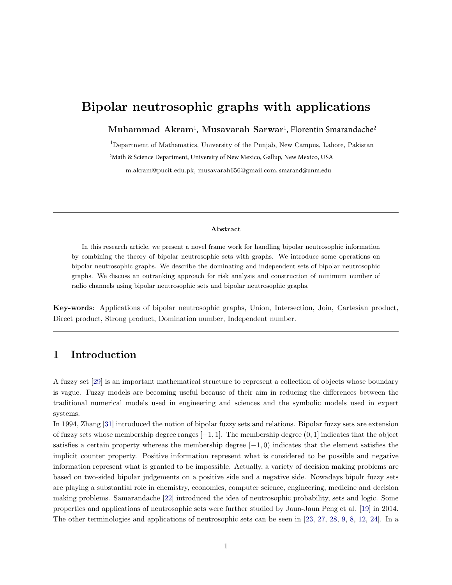# Bipolar neutrosophic graphs with applications

 $\mathbf M$ uhammad Akram<sup>1</sup>, Musavarah Sarwar<sup>1</sup>, Florentin Smarandache<sup>2</sup>

<sup>1</sup>Department of Mathematics, University of the Punjab, New Campus, Lahore, Pakistan <sup>2</sup>Math & Science Department, University of New Mexico, Gallup, New Mexico, USA m.akram@pucit.edu.pk, musavarah656@gmail.com, smarand@unm.edu

#### Abstract

In this research article, we present a novel frame work for handling bipolar neutrosophic information by combining the theory of bipolar neutrosophic sets with graphs. We introduce some operations on bipolar neutrosophic graphs. We describe the dominating and independent sets of bipolar neutrosophic graphs. We discuss an outranking approach for risk analysis and construction of minimum number of radio channels using bipolar neutrosophic sets and bipolar neutrosophic graphs.

Key-words: Applications of bipolar neutrosophic graphs, Union, Intersection, Join, Cartesian product, Direct product, Strong product, Domination number, Independent number.

#### 1 Introduction

A fuzzy set [\[29\]](#page-22-0) is an important mathematical structure to represent a collection of objects whose boundary is vague. Fuzzy models are becoming useful because of their aim in reducing the differences between the traditional numerical models used in engineering and sciences and the symbolic models used in expert systems.

In 1994, Zhang [\[31\]](#page-22-1) introduced the notion of bipolar fuzzy sets and relations. Bipolar fuzzy sets are extension of fuzzy sets whose membership degree ranges [−1, 1]. The membership degree (0, 1] indicates that the object satisfies a certain property whereas the membership degree  $[-1, 0)$  indicates that the element satisfies the implicit counter property. Positive information represent what is considered to be possible and negative information represent what is granted to be impossible. Actually, a variety of decision making problems are based on two-sided bipolar judgements on a positive side and a negative side. Nowadays bipolr fuzzy sets are playing a substantial role in chemistry, economics, computer science, engineering, medicine and decision making problems. Samarandache [\[22\]](#page-22-2) introduced the idea of neutrosophic probability, sets and logic. Some properties and applications of neutrosophic sets were further studied by Jaun-Jaun Peng et al. [\[19\]](#page-22-3) in 2014. The other terminologies and applications of neutrosophic sets can be seen in [\[23](#page-22-4), [27,](#page-22-5) [28,](#page-22-6) [9](#page-21-0), [8](#page-21-1), [12,](#page-21-2) [24\]](#page-22-7). In a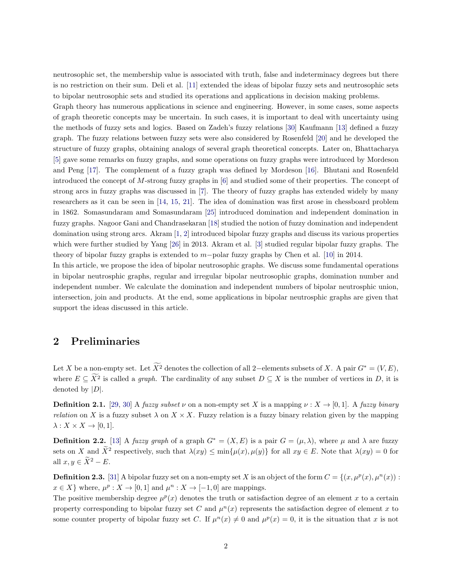neutrosophic set, the membership value is associated with truth, false and indeterminacy degrees but there is no restriction on their sum. Deli et al. [\[11\]](#page-21-3) extended the ideas of bipolar fuzzy sets and neutrosophic sets to bipolar neutrosophic sets and studied its operations and applications in decision making problems.

Graph theory has numerous applications in science and engineering. However, in some cases, some aspects of graph theoretic concepts may be uncertain. In such cases, it is important to deal with uncertainty using the methods of fuzzy sets and logics. Based on Zadeh's fuzzy relations [\[30](#page-22-8)] Kaufmann [\[13\]](#page-21-4) defined a fuzzy graph. The fuzzy relations between fuzzy sets were also considered by Rosenfeld [\[20\]](#page-22-9) and he developed the structure of fuzzy graphs, obtaining analogs of several graph theoretical concepts. Later on, Bhattacharya [\[5\]](#page-21-5) gave some remarks on fuzzy graphs, and some operations on fuzzy graphs were introduced by Mordeson and Peng [\[17\]](#page-21-6). The complement of a fuzzy graph was defined by Mordeson [\[16](#page-21-7)]. Bhutani and Rosenfeld introduced the concept of M-strong fuzzy graphs in [\[6](#page-21-8)] and studied some of their properties. The concept of strong arcs in fuzzy graphs was discussed in [\[7\]](#page-21-9). The theory of fuzzy graphs has extended widely by many researchers as it can be seen in [\[14](#page-21-10), [15,](#page-21-11) [21\]](#page-22-10). The idea of domination was first arose in chessboard problem in 1862. Somasundaram amd Somasundaram [\[25\]](#page-22-11) introduced domination and independent domination in fuzzy graphs. Nagoor Gani and Chandrasekaran [\[18\]](#page-22-12) studied the notion of fuzzy domination and independent domination using strong arcs. Akram [\[1,](#page-21-12) [2\]](#page-21-13) introduced bipolar fuzzy graphs and discuss its various properties which were further studied by Yang [\[26](#page-22-13)] in 2013. Akram et al. [\[3](#page-21-14)] studied regular bipolar fuzzy graphs. The theory of bipolar fuzzy graphs is extended to m−polar fuzzy graphs by Chen et al. [\[10](#page-21-15)] in 2014.

In this article, we propose the idea of bipolar neutrosophic graphs. We discuss some fundamental operations in bipolar neutrosphic graphs, regular and irregular bipolar neutrosophic graphs, domination number and independent number. We calculate the domination and independent numbers of bipolar neutrosphic union, intersection, join and products. At the end, some applications in bipolar neutrosphic graphs are given that support the ideas discussed in this article.

## 2 Preliminaries

Let X be a non-empty set. Let  $\widetilde{X}^2$  denotes the collection of all 2–elements subsets of X. A pair  $G^* = (V, E)$ , where  $E \subseteq \widetilde{X}^2$  is called a *graph*. The cardinality of any subset  $D \subseteq X$  is the number of vertices in D, it is denoted by  $|D|$ .

**Definition 2.1.** [\[29,](#page-22-0) [30](#page-22-8)] A *fuzzy subset*  $\nu$  on a non-empty set X is a mapping  $\nu : X \to [0,1]$ . A *fuzzy binary relation* on X is a fuzzy subset  $\lambda$  on  $X \times X$ . Fuzzy relation is a fuzzy binary relation given by the mapping  $\lambda: X \times X \rightarrow [0,1].$ 

**Definition 2.2.** [\[13\]](#page-21-4) A *fuzzy graph* of a graph  $G^* = (X, E)$  is a pair  $G = (\mu, \lambda)$ , where  $\mu$  and  $\lambda$  are fuzzy sets on X and  $\tilde{X}^2$  respectively, such that  $\lambda(xy) \le \min\{\mu(x), \mu(y)\}\)$  for all  $xy \in E$ . Note that  $\lambda(xy) = 0$  for all  $x, y \in \widetilde{X}^2 - E$ .

**Definition 2.3.** [\[31\]](#page-22-1) A bipolar fuzzy set on a non-empty set X is an object of the form  $C = \{(x, \mu^p(x), \mu^n(x)) :$  $x \in X$  where,  $\mu^p : X \to [0,1]$  and  $\mu^n : X \to [-1,0]$  are mappings.

The positive membership degree  $\mu^p(x)$  denotes the truth or satisfaction degree of an element x to a certain property corresponding to bipolar fuzzy set C and  $\mu^{n}(x)$  represents the satisfaction degree of element x to some counter property of bipolar fuzzy set C. If  $\mu^{n}(x) \neq 0$  and  $\mu^{p}(x) = 0$ , it is the situation that x is not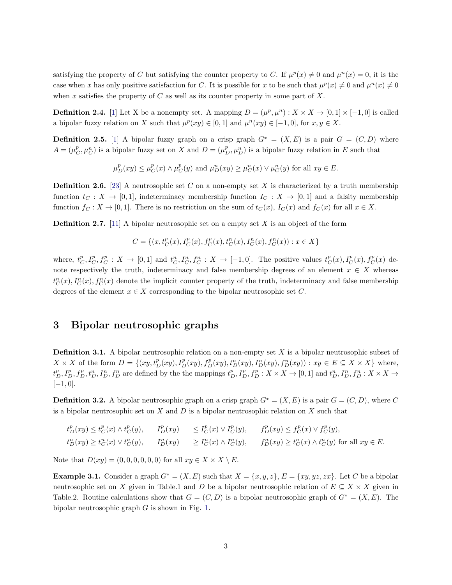satisfying the property of C but satisfying the counter property to C. If  $\mu^p(x) \neq 0$  and  $\mu^p(x) = 0$ , it is the case when x has only positive satisfaction for C. It is possible for x to be such that  $\mu^p(x) \neq 0$  and  $\mu^n(x) \neq 0$ when x satisfies the property of  $C$  as well as its counter property in some part of  $X$ .

**Definition 2.4.** [\[1](#page-21-12)] Let X be a nonempty set. A mapping  $D = (\mu^p, \mu^n) : X \times X \to [0, 1] \times [-1, 0]$  is called a bipolar fuzzy relation on X such that  $\mu^p(xy) \in [0,1]$  and  $\mu^n(xy) \in [-1,0]$ , for  $x, y \in X$ .

**Definition 2.5.** [\[1](#page-21-12)] A bipolar fuzzy graph on a crisp graph  $G^* = (X, E)$  is a pair  $G = (C, D)$  where  $A = (\mu_C^p, \mu_C^n)$  is a bipolar fuzzy set on X and  $D = (\mu_D^p, \mu_D^n)$  is a bipolar fuzzy relation in E such that

$$
\mu^p_D(xy) \leq \mu^p_C(x) \wedge \mu^p_C(y) \text{ and } \mu^n_D(xy) \geq \mu^n_C(x) \vee \mu^n_C(y) \text{ for all } xy \in E.
$$

**Definition 2.6.** [\[23\]](#page-22-4) A neutrosophic set C on a non-empty set X is characterized by a truth membership function  $t_C : X \to [0,1]$ , indeterminacy membership function  $I_C : X \to [0,1]$  and a falsity membership function  $f_C : X \to [0,1]$ . There is no restriction on the sum of  $t_C(x)$ ,  $I_C(x)$  and  $f_C(x)$  for all  $x \in X$ .

**Definition 2.7.** [\[11](#page-21-3)] A bipolar neutrosophic set on a empty set X is an object of the form

$$
C = \{(x,t_C^p(x),I_C^p(x),f_C^p(x),t_C^n(x),I_C^n(x),f_C^n(x)) : x \in X\}
$$

where,  $t_C^p, I_C^p, f_C^p : X \to [0,1]$  and  $t_C^n, I_C^n, f_C^n : X \to [-1,0].$  The positive values  $t_C^p(x), I_C^p(x), f_C^p(x)$  denote respectively the truth, indeterminacy and false membership degrees of an element  $x \in X$  whereas  $t_C^n(x)$ ,  $I_C^n(x)$ ,  $f_C^n(x)$  denote the implicit counter property of the truth, indeterminacy and false membership degrees of the element  $x \in X$  corresponding to the bipolar neutrosophic set C.

#### 3 Bipolar neutrosophic graphs

**Definition 3.1.** A bipolar neutrosophic relation on a non-empty set  $X$  is a bipolar neutrosophic subset of  $X \times X$  of the form  $D = \{(xy, t_D^p(xy), f_D^p(xy), t_D^n(xy), f_D^n(xy), f_D^n(xy)) : xy \in E \subseteq X \times X\}$  where,  $t_D^p, I_D^p, f_D^p, t_D^n, I_D^n, f_D^n$  are defined by the the mappings  $t_D^p, I_D^p, f_D^p: X \times X \to [0,1]$  and  $t_D^n, I_D^n, f_D^n: X \times X \to$  $[-1, 0].$ 

**Definition 3.2.** A bipolar neutrosophic graph on a crisp graph  $G^* = (X, E)$  is a pair  $G = (C, D)$ , where C is a bipolar neutrosophic set on  $X$  and  $D$  is a bipolar neutrosophic relation on  $X$  such that

$$
\begin{array}{llll} t^p_D(xy)\leq t^p_C(x)\wedge t^p_C(y),\quad&I^p_D(xy) &\leq I^p_C(x)\vee I^p_C(y),\quad&f^p_D(xy)\leq f^p_C(x)\vee f^p_C(y),\\ t^n_D(xy)\geq t^n_C(x)\vee t^n_C(y),&I^n_D(xy) &\geq I^n_C(x)\wedge I^n_C(y),&f^n_D(xy)\geq t^n_C(x)\wedge t^n_C(y) \text{ for all } xy\in E. \end{array}
$$

Note that  $D(xy) = (0, 0, 0, 0, 0, 0)$  for all  $xy \in X \times X \setminus E$ .

**Example 3.1.** Consider a graph  $G^* = (X, E)$  such that  $X = \{x, y, z\}$ ,  $E = \{xy, yz, zx\}$ . Let C be a bipolar neutrosophic set on X given in Table.1 and D be a bipolar neutrosophic relation of  $E \subseteq X \times X$  given in Table.2. Routine calculations show that  $G = (C, D)$  is a bipolar neutrosophic graph of  $G^* = (X, E)$ . The bipolar neutrosophic graph  $G$  is shown in Fig. [1.](#page-3-0)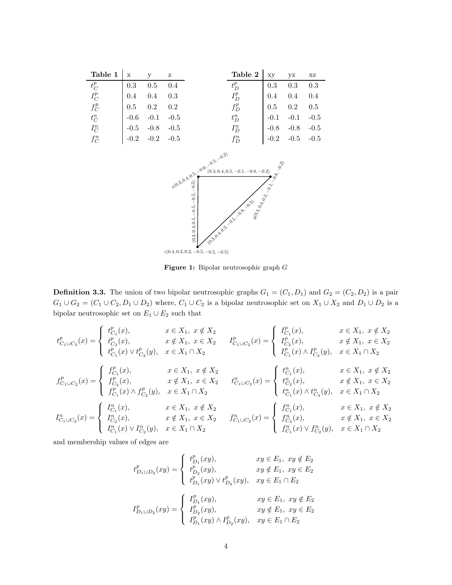<span id="page-3-0"></span>

| Table $1   x$ |           | $\mathbf{y}$<br>$\mathbf{Z}$                    |     | <b>Table 2</b>   $xy$ yz |            |                      | XZ  |
|---------------|-----------|-------------------------------------------------|-----|--------------------------|------------|----------------------|-----|
| $t_C^p$       |           | $0.3$ $0.5$ $0.4$                               |     | $t_D^p$                  | $0.3\ 0.3$ |                      | 0.3 |
| $I_C^p$       | $\pm 0.4$ | $0.4\,$                                         | 0.3 | $I_D^p$                  | $0.4$ 0.4  |                      | 0.4 |
| $f_C^p$       |           | $\begin{array}{ l} 0.5 & 0.2 & 0.2 \end{array}$ |     | $f_D^p$                  |            | $0.5$ 0.2 0.5        |     |
| $t_C^n$       |           | $-0.6$ $-0.1$ $-0.5$                            |     | $t_D^n$                  |            | $-0.1 -0.1 -0.5$     |     |
| $I_C^n$       |           | $-0.5 -0.8 -0.5$                                |     | $I_D^n$                  |            | $-0.8$ $-0.8$ $-0.5$ |     |
| $f_C^n$       |           | $-0.2$ $-0.2$ $-0.5$                            |     | $f_D^n$                  |            | $-0.2$ $-0.5$ $-0.5$ |     |



Figure 1: Bipolar neutrosophic graph G

**Definition 3.3.** The union of two bipolar neutrosophic graphs  $G_1 = (C_1, D_1)$  and  $G_2 = (C_2, D_2)$  is a pair  $G_1 \cup G_2 = (C_1 \cup C_2, D_1 \cup D_2)$  where,  $C_1 \cup C_2$  is a bipolar neutrosophic set on  $X_1 \cup X_2$  and  $D_1 \cup D_2$  is a bipolar neutrosophic set on  $E_1 \cup E_2$  such that

$$
t^p_{C_1 \cup C_2}(x) = \begin{cases} t^p_{C_1}(x), & x \in X_1, \ x \notin X_2 \\ t^p_{C_2}(x), & x \notin X_1, \ x \in X_2 \end{cases} \quad I^p_{C_1 \cup C_2}(x) = \begin{cases} I^p_{C_2}(x), & x \in X_1, \ x \notin X_1, \ x \in X_2 \end{cases}
$$
  

$$
f^p_{C_1 \cup C_2}(x) = \begin{cases} f^p_{C_1}(x), & x \in X_1 \cap X_2 \\ f^p_{C_2}(x), & x \in X_1, \ x \in X_2 \end{cases} \quad t^p_{C_1 \cup C_2}(x) = \begin{cases} t^p_{C_1}(x), & x \in X_1 \cap X_2 \\ I^p_{C_1}(x) \land I^p_{C_2}(y), & x \in X_1 \cap X_2 \end{cases}
$$
  

$$
f^p_{C_1 \cup C_2}(x) = \begin{cases} f^p_{C_1}(x), & x \notin X_1, \ x \in X_2 \end{cases} \quad t^p_{C_1 \cup C_2}(x) = \begin{cases} t^p_{C_1}(x), & x \in X_1, \ x \notin X_2 \\ t^p_{C_2}(x), & x \notin X_1, \ x \in X_2 \end{cases}
$$
  

$$
I^p_{C_1}(x) \land f^p_{C_2}(y), & x \in X_1 \cap X_2 \end{cases} \quad t^p_{C_1 \cup C_2}(x) = \begin{cases} f^p_{C_1}(x), & x \in X_1, \ x \notin X_2 \\ t^p_{C_1}(x) \land t^p_{C_2}(y), & x \in X_1 \cap X_2 \end{cases}
$$
  

$$
I^p_{C_1 \cup C_2}(x) = \begin{cases} I^p_{C_1}(x), & x \in X_1, \ x \notin X_2 \\ I^p_{C_2}(x), & x \notin X_1, \ x \in X_2 \end{cases}
$$
  

$$
I^p_{C_1}(x) \lor I^p_{C_2}(y), & x \in X_1 \cap X_2 \end{cases}
$$
  

$$
I^p_{C_1}(x) \lor I^p_{C_2}(y), & x \in X_1 \cap X_2
$$

and membership values of edges are

$$
t^p_{D_1 \cup D_2}(xy) = \begin{cases} t^p_{D_1}(xy), & xy \in E_1, xy \notin E_2 \\ t^p_{D_2}(xy), & xy \notin E_1, xy \in E_2 \\ t^p_{D_1}(xy) \vee t^p_{D_2}(xy), & xy \in E_1 \cap E_2 \end{cases}
$$
  

$$
I^p_{D_1 \cup D_2}(xy) = \begin{cases} I^p_{D_1}(xy), & xy \in E_1, xy \notin E_2 \\ I^p_{D_2}(xy), & xy \notin E_1, xy \in E_2 \\ I^p_{D_1}(xy) \wedge I^p_{D_2}(xy), & xy \in E_1 \cap E_2 \end{cases}
$$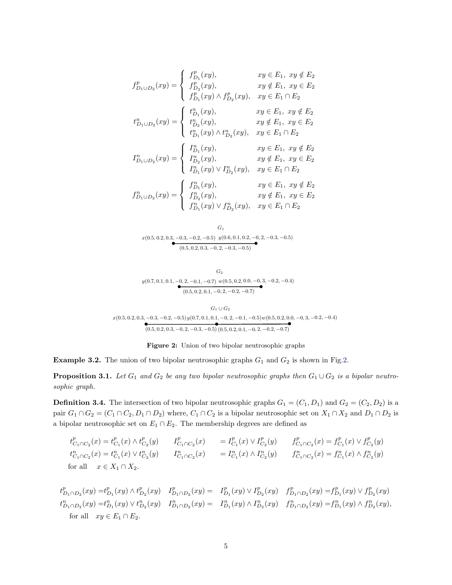$$
f_{D_1\cup D_2}^p(xy) = \begin{cases} f_{D_1}^p(xy), & xy \in E_1, xy \notin E_2 \\ f_{D_2}^p(xy), & xy \notin E_1, xy \in E_2 \\ f_{D_1}^p(xy) \wedge f_{D_2}^p(xy), & xy \in E_1 \cap E_2 \end{cases}
$$

$$
t_{D_1\cup D_2}^n(xy) = \begin{cases} t_{D_1}^n(xy), & xy \in E_1, xy \notin E_2 \\ t_{D_2}^n(xy), & xy \notin E_1, xy \in E_2 \\ t_{D_1}^n(xy) \wedge t_{D_2}^n(xy), & xy \in E_1 \cap E_2 \end{cases}
$$

$$
I_{D_1\cup D_2}^n(xy) = \begin{cases} I_{D_1}^n(xy), & xy \in E_1, xy \notin E_2 \\ I_{D_2}^n(xy), & xy \notin E_1, xy \in E_2 \\ I_{D_1}^n(xy) \vee I_{D_2}^n(xy), & xy \in E_1 \cap E_2 \\ f_{D_1\cup D_2}^n(xy) = \begin{cases} f_{D_1}^n(xy), & xy \in E_1, xy \notin E_2 \\ f_{D_1}^n(xy), & xy \in E_1, xy \in E_2 \\ f_{D_1}^n(xy) \vee f_{D_2}^n(xy), & xy \in E_1 \cap E_2 \end{cases}
$$

<span id="page-4-0"></span>
$$
G_1
$$
  
  $x(0.5, 0.2, 0.3, -0.3, -0.2, -0.5)$   $y(0.6, 0.1, 0.2, -0, 2, -0.3, -0.5)$   
 $y(0.6, 0.1, 0.2, -0, 2, -0.3, -0.5)$ 

 $y(0.7, 0.1, 0.1, -0, 2, -0.1, -0.7)$  w $(0.5, 0.2, 0.0, -0, 3, -0.2, -0.4)$  $(0.5, 0.2, 0.1, -0, 2, -0.2, -0.7)$  $\scriptstyle G_2$ 

$$
G_1 \cup G_2
$$
  

$$
x(0.5, 0.2, 0.3, -0.3, -0.2, -0.5) y(0.7, 0.1, 0.1, -0, 2, -0.1, -0.5) w(0.5, 0.2, 0.0, -0, 3, -0.2, -0.4)
$$
  

$$
(0.5, 0.2, 0.3, -0, 2, -0.3, -0.5) (0.5, 0.2, 0.1, -0, 2, -0.2, -0.7)
$$

Figure 2: Union of two bipolar neutrosophic graphs

**Example 3[.2.](#page-4-0)** The union of two bipolar neutrosophic graphs  $G_1$  and  $G_2$  is shown in Fig.2.

**Proposition 3.1.** *Let*  $G_1$  *and*  $G_2$  *be any two bipolar neutrosophic graphs then*  $G_1 \cup G_2$  *is a bipolar neutrosophic graph.*

**Definition 3.4.** The intersection of two bipolar neutrosophic graphs  $G_1 = (C_1, D_1)$  and  $G_2 = (C_2, D_2)$  is a pair  $G_1 \cap G_2 = (C_1 \cap C_2, D_1 \cap D_2)$  where,  $C_1 \cap C_2$  is a bipolar neutrosophic set on  $X_1 \cap X_2$  and  $D_1 \cap D_2$  is a bipolar neutrosophic set on  $E_1 \cap E_2$ . The membership degrees are defined as

 $t^p_{C_1 \cap C_2}(x) = t^p_{C_1}(x) \wedge t^p_{C_2}(y) \qquad I^p_{C_1 \cap C_2}(x) \qquad = I^p_{C_1}(x) \vee I^p_{C_2}(y) \qquad f^p_{C_1 \cap C_2}(x) = f^p_{C_1}(x) \vee f^p_{C_2}(y)$  $t_{C_1 \cap C_2}^n(x) = t_{C_1}^n(x) \vee t_{C_2}^n(y)$   $I_{C_1 \cap C_2}^n(x)$   $= I_{C_1}^n(x) \wedge I_{C_2}^n(y)$   $f_{C_1 \cap C_2}^n(x) = f_{C_1}^n(x) \wedge f_{C_2}^n(y)$ for all  $x \in X_1 \cap X_2$ .

$$
t_{D_1 \cap D_2}^p(xy) = t_{D_1}^p(xy) \land t_{D_2}^p(xy) \quad I_{D_1 \cap D_2}^p(xy) = \quad I_{D_1}^p(xy) \lor I_{D_2}^p(xy) \quad f_{D_1 \cap D_2}^p(xy) = f_{D_1}^p(xy) \lor f_{D_2}^p(xy)
$$
\n
$$
t_{D_1 \cap D_2}^n(xy) = t_{D_1}^n(xy) \lor t_{D_2}^n(xy) \quad I_{D_1 \cap D_2}^n(xy) = \quad I_{D_1}^n(xy) \land I_{D_2}^n(xy) \quad f_{D_1 \cap D_2}^n(xy) = f_{D_1}^n(xy) \land f_{D_2}^n(xy),
$$
\nfor all  $xy \in E_1 \cap E_2$ .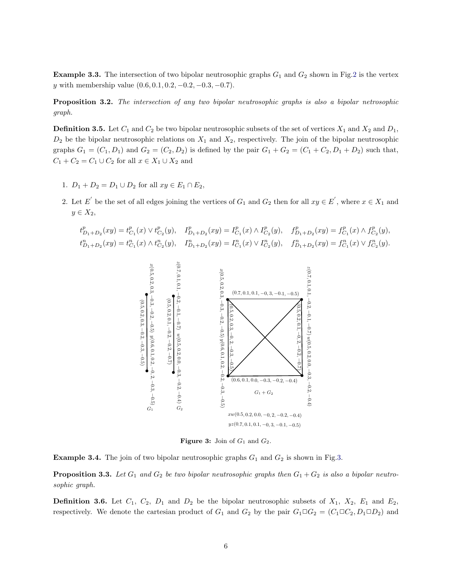**Example 3.3.** The intersection of two bipolar neutrosophic graphs  $G_1$  and  $G_2$  shown in Fig[.2](#page-4-0) is the vertex y with membership value  $(0.6, 0.1, 0.2, -0.2, -0.3, -0.7)$ .

Proposition 3.2. *The intersection of any two bipolar neutrosophic graphs is also a bipolar netrosophic graph.*

**Definition 3.5.** Let  $C_1$  and  $C_2$  be two bipolar neutrosophic subsets of the set of vertices  $X_1$  and  $X_2$  and  $D_1$ ,  $D_2$  be the bipolar neutrosophic relations on  $X_1$  and  $X_2$ , respectively. The join of the bipolar neutrosophic graphs  $G_1 = (C_1, D_1)$  and  $G_2 = (C_2, D_2)$  is defined by the pair  $G_1 + G_2 = (C_1 + C_2, D_1 + D_2)$  such that,  $C_1 + C_2 = C_1 \cup C_2$  for all  $x \in X_1 \cup X_2$  and

- 1.  $D_1 + D_2 = D_1 \cup D_2$  for all  $xy \in E_1 \cap E_2$ ,
- 2. Let E' be the set of all edges joining the vertices of  $G_1$  and  $G_2$  then for all  $xy \in E'$ , where  $x \in X_1$  and  $y \in X_2$ ,

<span id="page-5-0"></span>
$$
\begin{aligned} t^p_{D_1+D_2}(xy)=t^p_{C_1}(x)\vee t^p_{C_2}(y),\quad I^p_{D_1+D_2}(xy)=I^p_{C_1}(x)\wedge I^p_{C_2}(y),\quad f^p_{D_1+D_2}(xy)=f^p_{C_1}(x)\wedge f^p_{C_2}(y),\\ t^n_{D_1+D_2}(xy)=t^n_{C_1}(x)\wedge t^n_{C_2}(y),\quad I^n_{D_1+D_2}(xy)=I^n_{C_1}(x)\vee I^n_{C_2}(y),\quad f^n_{D_1+D_2}(xy)=f^n_{C_1}(x)\vee f^n_{C_2}(y). \end{aligned}
$$



**Figure 3:** Join of  $G_1$  and  $G_2$ .

**Example 3.4.** The join of two bipolar neutrosophic graphs  $G_1$  and  $G_2$  is shown in Fig[.3.](#page-5-0)

**Proposition 3.3.** Let  $G_1$  and  $G_2$  be two bipolar neutrosophic graphs then  $G_1 + G_2$  is also a bipolar neutro*sophic graph.*

<span id="page-5-1"></span>**Definition 3.6.** Let  $C_1$ ,  $C_2$ ,  $D_1$  and  $D_2$  be the bipolar neutrosophic subsets of  $X_1$ ,  $X_2$ ,  $E_1$  and  $E_2$ , respectively. We denote the cartesian product of  $G_1$  and  $G_2$  by the pair  $G_1 \Box G_2 = (C_1 \Box C_2, D_1 \Box D_2)$  and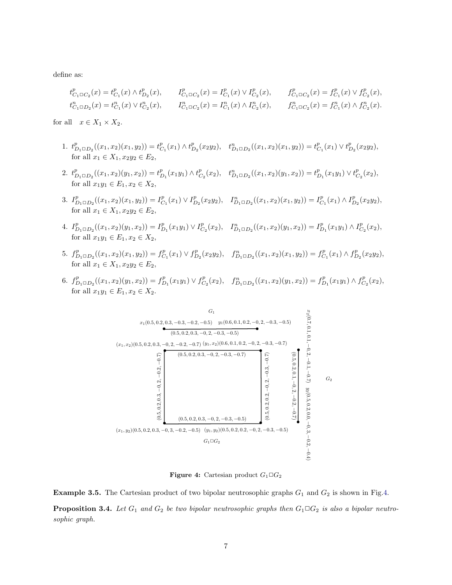define as:

$$
t^p_{C_1 \square C_2}(x) = t^p_{C_1}(x) \wedge t^p_{D_2}(x), \qquad I^p_{C_1 \square C_2}(x) = I^p_{C_1}(x) \vee I^p_{C_2}(x), \qquad f^p_{C_1 \square C_2}(x) = f^p_{C_1}(x) \vee f^p_{C_2}(x),
$$
  

$$
t^n_{C_1 \square D_2}(x) = t^n_{C_1}(x) \vee t^n_{C_2}(x), \qquad I^n_{C_1 \square C_2}(x) = I^n_{C_1}(x) \wedge I^n_{C_2}(x), \qquad f^n_{C_1 \square C_2}(x) = f^n_{C_1}(x) \wedge f^n_{C_2}(x).
$$

for all  $x \in X_1 \times X_2$ .

- 1.  $t_{D_1 \Box D_2}^p((x_1, x_2)(x_1, y_2)) = t_{C_1}^p(x_1) \wedge t_{D_2}^p(x_2y_2), \quad t_{D_1 \Box D_2}^n((x_1, x_2)(x_1, y_2)) = t_{C_1}^p(x_1) \vee t_{D_2}^p(x_2y_2),$ for all  $x_1 \in X_1, x_2y_2 \in E_2$ ,
- 2.  $t_{D_1 \Box D_2}^p((x_1, x_2)(y_1, x_2)) = t_{D_1}^p(x_1y_1) \wedge t_{C_2}^p(x_2), \quad t_{D_1 \Box D_2}^n((x_1, x_2)(y_1, x_2)) = t_{D_1}^p(x_1y_1) \vee t_{C_2}^p(x_2),$ for all  $x_1y_1 \in E_1, x_2 \in X_2$ ,
- 3.  $I_{D_1 \square D_2}^p((x_1, x_2)(x_1, y_2)) = I_{C_1}^p(x_1) \vee I_{D_2}^p(x_2y_2), \quad I_{D_1 \square D_2}^n((x_1, x_2)(x_1, y_2)) = I_{C_1}^p(x_1) \wedge I_{D_2}^p(x_2y_2),$ for all  $x_1 \in X_1, x_2y_2 \in E_2$ ,
- 4.  $I_{D_1 \square D_2}^p((x_1, x_2)(y_1, x_2)) = I_{D_1}^p(x_1y_1) \vee I_{C_2}^p(x_2), \quad I_{D_1 \square D_2}^n((x_1, x_2)(y_1, x_2)) = I_{D_1}^p(x_1y_1) \wedge I_{C_2}^p(x_2),$ for all  $x_1y_1 \in E_1, x_2 \in X_2$ ,
- 5.  $f_{D_1 \square D_2}^p((x_1, x_2)(x_1, y_2)) = f_{C_1}^p(x_1) \vee f_{D_2}^p(x_2y_2), \quad f_{D_1 \square D_2}^n((x_1, x_2)(x_1, y_2)) = f_{C_1}^p(x_1) \wedge f_{D_2}^p(x_2y_2),$ for all  $x_1 \in X_1, x_2y_2 \in E_2$ ,
- <span id="page-6-0"></span>6.  $f_{D_1 \square D_2}^p((x_1, x_2)(y_1, x_2)) = f_{D_1}^p(x_1y_1) \vee f_{C_2}^p(x_2), \quad f_{D_1 \square D_2}^n((x_1, x_2)(y_1, x_2)) = f_{D_1}^p(x_1y_1) \wedge f_{C_2}^p(x_2),$ for all  $x_1y_1 \in E_1, x_2 \in X_2$ .



Figure 4: Cartesian product  $G_1 \square G_2$ 

**Example 3.5.** The Cartesian product of two bipolar neutrosophic graphs  $G_1$  and  $G_2$  is shown in Fig[.4.](#page-6-0)

**Proposition 3.4.** Let  $G_1$  and  $G_2$  be two bipolar neutrosophic graphs then  $G_1 \square G_2$  is also a bipolar neutro*sophic graph.*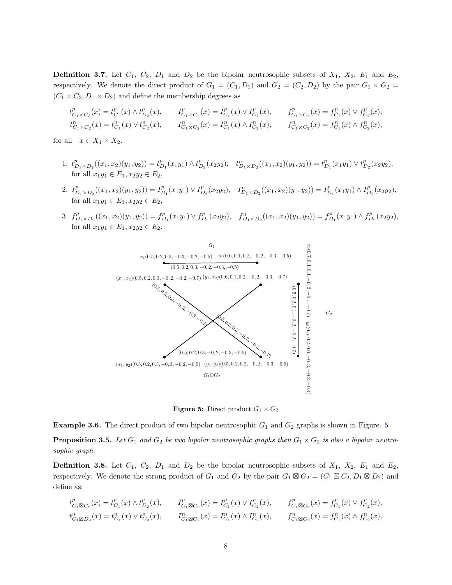**Definition 3.7.** Let  $C_1$ ,  $C_2$ ,  $D_1$  and  $D_2$  be the bipolar neutrosophic subsets of  $X_1$ ,  $X_2$ ,  $E_1$  and  $E_2$ , respectively. We denote the direct product of  $G_1 = (C_1, D_1)$  and  $G_2 = (C_2, D_2)$  by the pair  $G_1 \times G_2 =$  $(C_1 \times C_2, D_1 \times D_2)$  and define the membership degrees as

$$
\begin{aligned} t^p_{C_1 \times C_2}(x) &= t^p_{C_1}(x) \wedge t^p_{D_2}(x), & & & I^p_{C_1 \times C_2}(x) &= I^p_{C_1}(x) \vee I^p_{C_2}(x), & & f^p_{C_1 \times C_2}(x) &= f^p_{C_1}(x) \vee f^p_{C_2}(x),\\ t^n_{C_1 \times C_2}(x) &= t^n_{C_1}(x) \vee t^n_{C_2}(x), & & & I^n_{C_1 \times C_2}(x) &= I^n_{C_1}(x) \wedge I^n_{C_2}(x), & & f^n_{C_1 \times C_2}(x) &= f^n_{C_1}(x) \wedge f^n_{C_2}(x), \end{aligned}
$$

for all  $x \in X_1 \times X_2$ .

- 1.  $t_{D_1 \times D_2}^p((x_1, x_2)(y_1, y_2)) = t_{D_1}^p(x_1y_1) \wedge t_{D_2}^p(x_2y_2), \quad t_{D_1 \times D_2}^n((x_1, x_2)(y_1, y_2)) = t_{D_1}^p(x_1y_1) \vee t_{D_2}^p(x_2y_2),$ for all  $x_1y_1 \in E_1, x_2y_2 \in E_2$ ,
- 2.  $I_{D_1 \times D_2}^p((x_1, x_2)(y_1, y_2)) = I_{D_1}^p(x_1y_1) \vee I_{D_2}^p(x_2y_2), \quad I_{D_1 \times D_2}^n((x_1, x_2)(y_1, y_2)) = I_{D_1}^p(x_1y_1) \wedge I_{D_2}^p(x_2y_2),$ for all  $x_1y_1 \in E_1, x_2y_2 \in E_2$ ,
- <span id="page-7-0"></span>3.  $f_{D_1 \times D_2}^p((x_1, x_2)(y_1, y_2)) = f_{D_1}^p(x_1y_1) \vee f_{D_2}^p(x_2y_2), \quad f_{D_1 \times D_2}^n((x_1, x_2)(y_1, y_2)) = f_{D_1}^p(x_1y_1) \wedge f_{D_2}^p(x_2y_2),$ for all  $x_1y_1 \in E_1, x_2y_2 \in E_2$ .



**Figure 5:** Direct product  $G_1 \times G_2$ 

**Example 3.6.** The direct product of two bipolar neutrosophic  $G_1$  and  $G_2$  graphs is shown in Figure. [5](#page-7-0)

**Proposition 3.5.** Let  $G_1$  and  $G_2$  be two bipolar neutrosophic graphs then  $G_1 \times G_2$  is also a bipolar neutro*sophic graph.*

**Definition 3.8.** Let  $C_1$ ,  $C_2$ ,  $D_1$  and  $D_2$  be the bipolar neutrosophic subsets of  $X_1$ ,  $X_2$ ,  $E_1$  and  $E_2$ , respectively. We denote the strong product of  $G_1$  and  $G_2$  by the pair  $G_1 \boxtimes G_2 = (C_1 \boxtimes C_2, D_1 \boxtimes D_2)$  and define as:

$$
\begin{aligned} t^p_{C_1\boxtimes C_2}(x) &= t^p_{C_1}(x) \wedge t^p_{D_2}(x), \qquad I^p_{C_1\boxtimes C_2}(x) = I^p_{C_1}(x) \vee I^p_{C_2}(x), \qquad f^p_{C_1\boxtimes C_2}(x) = f^p_{C_1}(x) \vee f^p_{C_2}(x),\\ t^n_{C_1\boxtimes D_2}(x) &= t^n_{C_1}(x) \vee t^n_{C_2}(x), \qquad I^n_{C_1\boxtimes C_2}(x) = I^n_{C_1}(x) \wedge I^n_{C_2}(x), \qquad f^n_{C_1\boxtimes C_2}(x) = f^n_{C_1}(x) \wedge f^n_{C_2}(x), \end{aligned}
$$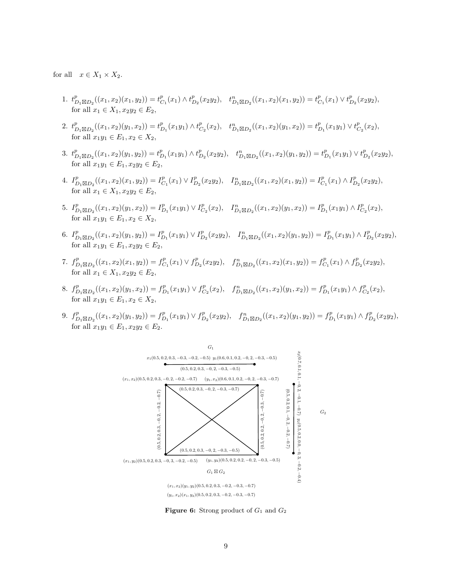for all  $x \in X_1 \times X_2$ .

- 1.  $t_{D_1\boxtimes D_2}^p((x_1,x_2)(x_1,y_2))=t_{C_1}^p(x_1)\wedge t_{D_2}^p(x_2y_2), \quad t_{D_1\boxtimes D_2}^n((x_1,x_2)(x_1,y_2))=t_{C_1}^p(x_1)\vee t_{D_2}^p(x_2y_2),$ for all  $x_1 \in X_1, x_2y_2 \in E_2$ ,
- 2.  $t_{D_1\boxtimes D_2}^p((x_1,x_2)(y_1,x_2))=t_{D_1}^p(x_1y_1)\wedge t_{C_2}^p(x_2),\quad t_{D_1\boxtimes D_2}^n((x_1,x_2)(y_1,x_2))=t_{D_1}^p(x_1y_1)\vee t_{C_2}^p(x_2),$ for all  $x_1y_1 \in E_1, x_2 \in X_2$ ,
- 3.  $t_{D_1\boxtimes D_2}^p((x_1,x_2)(y_1,y_2))=t_{D_1}^p(x_1y_1)\wedge t_{D_2}^p(x_2y_2), \quad t_{D_1\boxtimes D_2}^n((x_1,x_2)(y_1,y_2))=t_{D_1}^p(x_1y_1)\vee t_{D_2}^p(x_2y_2),$ for all  $x_1y_1 \in E_1, x_2y_2 \in E_2$ .
- 4.  $I_{D_1\boxtimes D_2}^p((x_1, x_2)(x_1, y_2)) = I_{C_1}^p(x_1) \vee I_{D_2}^p(x_2y_2), \quad I_{D_1\boxtimes D_2}^n((x_1, x_2)(x_1, y_2)) = I_{C_1}^p(x_1) \wedge I_{D_2}^p(x_2y_2),$ for all  $x_1 \in X_1, x_2y_2 \in E_2$ ,
- 5.  $I_{D_1\boxtimes D_2}^p((x_1,x_2)(y_1,x_2)) = I_{D_1}^p(x_1y_1) \vee I_{C_2}^p(x_2), \quad I_{D_1\boxtimes D_2}^n((x_1,x_2)(y_1,x_2)) = I_{D_1}^p(x_1y_1) \wedge I_{C_2}^p(x_2),$ for all  $x_1y_1 \in E_1, x_2 \in X_2$ ,
- 6.  $I_{D_1\boxtimes D_2}^p((x_1,x_2)(y_1,y_2)) = I_{D_1}^p(x_1y_1) \vee I_{D_2}^p(x_2y_2), \quad I_{D_1\boxtimes D_2}^n((x_1,x_2)(y_1,y_2)) = I_{D_1}^p(x_1y_1) \wedge I_{D_2}^p(x_2y_2),$ for all  $x_1y_1 \in E_1, x_2y_2 \in E_2$ ,
- 7.  $f_{D_1\boxtimes D_2}^p((x_1, x_2)(x_1, y_2)) = f_{C_1}^p(x_1) \vee f_{D_2}^p(x_2y_2), \quad f_{D_1\boxtimes D_2}^n((x_1, x_2)(x_1, y_2)) = f_{C_1}^p(x_1) \wedge f_{D_2}^p(x_2y_2),$ for all  $x_1 \in X_1, x_2y_2 \in E_2$ ,
- 8.  $f_{D_1\boxtimes D_2}^p((x_1,x_2)(y_1,x_2)) = f_{D_1}^p(x_1y_1) \vee f_{C_2}^p(x_2), \quad f_{D_1\boxtimes D_2}^n((x_1,x_2)(y_1,x_2)) = f_{D_1}^p(x_1y_1) \wedge f_{C_2}^p(x_2),$ for all  $x_1y_1 \in E_1, x_2 \in X_2$ ,
- <span id="page-8-0"></span>9.  $f_{D_1\boxtimes D_2}^p((x_1,x_2)(y_1,y_2)) = f_{D_1}^p(x_1y_1) \vee f_{D_2}^p(x_2y_2), \quad f_{D_1\boxtimes D_2}^n((x_1,x_2)(y_1,y_2)) = f_{D_1}^p(x_1y_1) \wedge f_{D_2}^p(x_2y_2),$ for all  $x_1y_1 \in E_1, x_2y_2 \in E_2$ .



**Figure 6:** Strong product of  $G_1$  and  $G_2$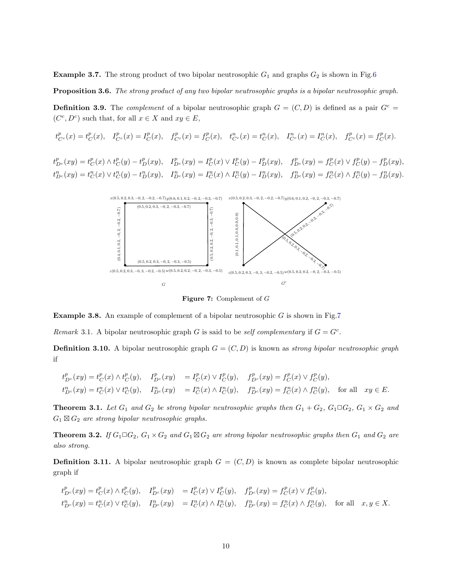**Example 3.7.** The strong product of two bipolar neutrosophic  $G_1$  and graphs  $G_2$  is shown in Fig[.6](#page-8-0)

Proposition 3.6. The strong product of any two bipolar neutrosophic graphs is a bipolar neutrosophic graph.

<span id="page-9-1"></span>**Definition 3.9.** The *complement* of a bipolar neutrosophic graph  $G = (C, D)$  is defined as a pair  $G<sup>c</sup> =$  $(C^c, D^c)$  such that, for all  $x \in X$  and  $xy \in E$ ,

$$
t_{C^c}^p(x) = t_C^p(x), \quad I_{C^c}^p(x) = I_C^p(x), \quad f_{C^c}^p(x) = f_C^p(x), \quad t_{C^c}^n(x) = t_C^n(x), \quad I_{C^c}^n(x) = I_C^n(x), \quad f_{C^c}^p(x) = f_C^p(x).
$$

<span id="page-9-0"></span> $t_{D^c}^p(xy) = t_C^p(x) \wedge t_C^p(y) - t_D^p(xy), \quad I_{D^c}^p(xy) = I_C^p(x) \vee I_C^p(y) - I_D^p(xy), \quad f_{D^c}^p(xy) = f_C^p(x) \vee f_C^p(y) - f_D^p(xy),$  $t_{D^c}^n(xy) = t_C^n(x) \vee t_C^n(y) - t_D^n(xy), \quad I_{D^c}^n(xy) = I_C^n(x) \wedge I_C^n(y) - I_D^n(xy), \quad f_{D^c}^n(xy) = f_C^n(x) \wedge f_C^n(y) - f_D^n(xy).$ 



Figure 7: Complement of G

**Example 3.8.** An example of complement of a bipolar neutrosophic  $G$  is shown in Fig[.7](#page-9-0)

*Remark* 3.1. A bipolar neutrosophic graph G is said to be *self complementary* if  $G = G<sup>c</sup>$ .

**Definition 3.10.** A bipolar neutrosophic graph  $G = (C, D)$  is known as *strong bipolar neutrosophic graph* if

$$
t_{D^c}^p(xy) = t_C^p(x) \wedge t_C^p(y), \quad I_{D^c}^p(xy) = I_C^p(x) \vee I_C^p(y), \quad f_{D^c}^p(xy) = f_C^p(x) \vee f_C^p(y),
$$
  
\n
$$
t_{D^c}^n(xy) = t_C^n(x) \vee t_C^n(y), \quad I_{D^c}^n(xy) = I_C^n(x) \wedge I_C^n(y), \quad f_{D^c}^n(xy) = f_C^n(x) \wedge f_C^n(y), \quad \text{for all} \quad xy \in E.
$$

**Theorem 3.1.** Let  $G_1$  and  $G_2$  be strong bipolar neutrosophic graphs then  $G_1 + G_2$ ,  $G_1 \square G_2$ ,  $G_1 \times G_2$  and  $G_1 \boxtimes G_2$  *are strong bipolar neutrosophic graphs.* 

**Theorem 3.2.** *If*  $G_1 \square G_2$ ,  $G_1 \times G_2$  *and*  $G_1 \boxtimes G_2$  *are strong bipolar neutrosophic graphs then*  $G_1$  *and*  $G_2$  *are also strong.*

**Definition 3.11.** A bipolar neutrosophic graph  $G = (C, D)$  is known as complete bipolar neutrosophic graph if

$$
t_{D^c}^p(xy) = t_C^p(x) \wedge t_C^p(y), \quad I_{D^c}^p(xy) = I_C^p(x) \vee I_C^p(y), \quad f_{D^c}^p(xy) = f_C^p(x) \vee f_C^p(y),
$$
  
\n
$$
t_{D^c}^n(xy) = t_C^n(x) \vee t_C^n(y), \quad I_{D^c}^n(xy) = I_C^n(x) \wedge I_C^n(y), \quad f_{D^c}^n(xy) = f_C^n(x) \wedge f_C^n(y), \quad \text{for all} \quad x, y \in X.
$$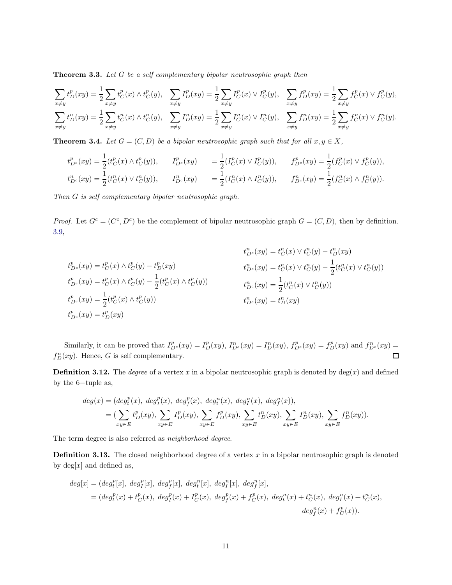Theorem 3.3. *Let* G *be a self complementary bipolar neutrosophic graph then*

$$
\sum_{x \neq y} t_D^p(xy) = \frac{1}{2} \sum_{x \neq y} t_C^p(x) \wedge t_C^p(y), \quad \sum_{x \neq y} I_D^p(xy) = \frac{1}{2} \sum_{x \neq y} I_C^p(x) \vee I_C^p(y), \quad \sum_{x \neq y} f_D^p(xy) = \frac{1}{2} \sum_{x \neq y} f_C^p(x) \vee f_C^p(y),
$$
\n
$$
\sum_{x \neq y} t_D^n(xy) = \frac{1}{2} \sum_{x \neq y} t_C^n(x) \wedge t_C^n(y), \quad \sum_{x \neq y} I_D^n(xy) = \frac{1}{2} \sum_{x \neq y} I_C^n(x) \vee I_C^n(y), \quad \sum_{x \neq y} f_D^n(xy) = \frac{1}{2} \sum_{x \neq y} f_C^n(x) \vee f_C^n(y).
$$

**Theorem 3.4.** *Let*  $G = (C, D)$  *be a bipolar neutrosophic graph such that for all*  $x, y \in X$ ,

$$
t_{D^c}^p(xy) = \frac{1}{2}(t_C^p(x) \wedge t_C^p(y)), \qquad I_{D^c}^p(xy) = \frac{1}{2}(I_C^p(x) \vee I_C^p(y)), \qquad f_{D^c}^p(xy) = \frac{1}{2}(f_C^p(x) \vee f_C^p(y)),
$$
  
\n
$$
t_{D^c}^n(xy) = \frac{1}{2}(t_C^n(x) \vee t_C^n(y)), \qquad I_{D^c}^n(xy) = \frac{1}{2}(I_C^n(x) \wedge I_C^n(y)), \qquad f_{D^c}^n(xy) = \frac{1}{2}(f_C^n(x) \wedge f_C^n(y)).
$$

*Then* G *is self complementary bipolar neutrosophic graph.*

*Proof.* Let  $G^c = (C^c, D^c)$  be the complement of bipolar neutrosophic graph  $G = (C, D)$ , then by definition. [3.9,](#page-9-1)

$$
t_{D^c}^p(xy) = t_C^p(x) \wedge t_C^p(y) - t_D^p(xy)
$$
  
\n
$$
t_{D^c}^p(xy) = t_C^p(x) \wedge t_C^p(y) - t_D^p(xy)
$$
  
\n
$$
t_{D^c}^p(xy) = t_C^p(x) \wedge t_C^p(y) - \frac{1}{2}(t_C^p(x) \wedge t_C^p(y))
$$
  
\n
$$
t_{D^c}^p(xy) = t_C^p(x) \wedge t_C^p(y) - \frac{1}{2}(t_C^p(x) \wedge t_C^p(y))
$$
  
\n
$$
t_{D^c}^p(xy) = \frac{1}{2}(t_C^p(x) \wedge t_C^p(y))
$$
  
\n
$$
t_{D^c}^p(xy) = t_D^p(xy)
$$
  
\n
$$
t_{D^c}^p(xy) = t_D^p(xy)
$$
  
\n
$$
t_{D^c}^p(xy) = t_D^p(xy)
$$
  
\n
$$
t_{D^c}^p(xy) = t_D^p(xy)
$$

Similarly, it can be proved that  $I_{D^c}^p(xy) = I_D^p(xy)$ ,  $I_{D^c}^n(xy) = I_D^n(xy)$ ,  $f_{D^c}^p(xy) = f_D^p(xy)$  and  $f_{D^c}^n(xy) =$  $f_D^n(xy)$ . Hence, G is self complementary.  $\Box$ 

**Definition 3.12.** The *degree* of a vertex x in a bipolar neutrosophic graph is denoted by  $deg(x)$  and defined by the 6−tuple as,

$$
deg(x) = (deg_t^p(x), \ deg_f^p(x), \ deg_f^p(x), \ deg_t^n(x), \ deg_f^n(x), \ deg_f^n(x)),
$$
  
=  $(\sum_{xy \in E} t_D^p(xy), \sum_{xy \in E} I_D^p(xy), \sum_{xy \in E} t_D^n(xy), \sum_{xy \in E} I_D^n(xy), \sum_{xy \in E} I_D^n(xy)).$ 

The term degree is also referred as *neighborhood degree*.

**Definition 3.13.** The closed neighborhood degree of a vertex  $x$  in a bipolar neutrosophic graph is denoted by  $deg[x]$  and defined as,

$$
deg[x] = (deg_t^p[x], deg_f^p[x], deg_f^p[x], deg_t^n[x], deg_f^n[x], deg_f^n[x],
$$
  
=  $(deg_t^p(x) + t_C^p(x), deg_f^p(x) + I_C^p(x), deg_f^p(x) + f_C^p(x), deg_t^n(x) + t_C^n(x), deg_f^n(x) + t_C^n(x),$   
 $deg_f^n(x) + f_C^p(x)).$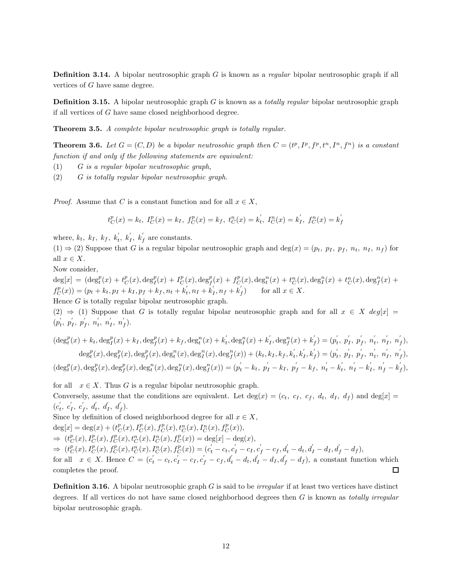Definition 3.14. A bipolar neutrosophic graph G is known as a *regular* bipolar neutrosophic graph if all vertices of G have same degree.

Definition 3.15. A bipolar neutrosophic graph G is known as a *totally regular* bipolar neutrosophic graph if all vertices of G have same closed neighborhood degree.

Theorem 3.5. *A complete bipolar neutrosophic graph is totally regular.*

**Theorem 3.6.** Let  $G = (C, D)$  be a bipolar neutrosohic graph then  $C = (t^p, I^p, f^p, t^n, I^n, f^n)$  is a constant *function if and only if the following statements are equivalent:*

- (1) G *is a regular bipolar neutrosophic graph,*
- (2) G *is totally regular bipolar neutrosophic graph.*

*Proof.* Assume that C is a constant function and for all  $x \in X$ ,

$$
t_C^p(x) = k_t
$$
,  $I_C^p(x) = k_I$ ,  $f_C^p(x) = k_f$ ,  $t_C^n(x) = k'_t$ ,  $I_C^n(x) = k'_I$ ,  $f_C^n(x) = k'_f$ 

where,  $k_t$ ,  $k_I$ ,  $k_f$ ,  $k'_t$ ,  $k'_I$ ,  $k'_f$  are constants.

 $(1) \Rightarrow (2)$  Suppose that G is a regular bipolar neutrosophic graph and deg $(x) = (p_t, p_I, p_f, n_t, n_I, n_f)$  for all  $x \in X$ .

Now consider,

 $\deg[x] = (\deg_t^p(x) + t_C^p(x), \deg_I^p(x) + I_C^p(x), \deg_f^p(x) + f_C^p(x), \deg_t^n(x) + t_C^n(x), \deg_I^n(x) + t_C^n(x), \deg_f^n(x) + t_C^n(x)$  $f_C^p(x) = (p_t + k_t, p_I + k_I, p_f + k_f, n_t + k_t$  $t_{t}^{'}, n_{I} + \dot{k}_{I}^{'}$  $\tilde{I}_{I}, n_{f} + \tilde{k}_{j}^{'}$  $f_f$  for all  $x \in X$ . Hence  $G$  is totally regular bipolar neutrosophic graph.

(2)  $\Rightarrow$  (1) Suppose that G is totally regular bipolar neutrosophic graph and for all  $x \in X$  deg[x] =  $(p'_t)$  $\boldsymbol{p}_i^{\prime}, \ \boldsymbol{p}_j^{\prime}$  $\boldsymbol{p}'_I, \ \boldsymbol{p}'_J$  $'_{f}, n'_{t}$  $\frac{1}{t}$ ,  $n_1$ <sup>'</sup>  $\frac{1}{I}$ ,  $n_j$  $\int_{f}$ .

 $(\deg_t^p(x) + k_t, \deg_t^p(x) + k_I, \deg_f^p(x) + k_f, \deg_t^n(x) + k_t'$  $t<sub>t</sub>, \deg_{I}^{n}(x) + k_{I}^{'}$  $\int_I', \deg_f^n(x) + k_j'$  $f'_{f}) = (p'_{t})$  $'_{t}, p'_{t}$  $'_{I}, p^{'}_{I}$  $\frac{1}{f}, \frac{n'_t}{f}$  $\frac{1}{t}$ ,  $n_1$  $\frac{1}{I}, n\frac{1}{I}$  $_{f}),$  $\deg_t^p(x), \deg_f^p(x), \deg_f^p(x), \deg_t^n(x), \deg_f^n(x), \deg_f^n(x)) + (k_t, k_I, k_f, k_t'$  $\boldsymbol{h}_{t}^{'}, \boldsymbol{k}_{t}^{'}$  $\boldsymbol{h}_I',\boldsymbol{k}_J'$  $f'_{f}) = (p'_{t})$  $'_{t}, p'_{t}$  $'_{I}, p^{'}_{I}$  $\frac{1}{f}, \frac{n'_t}{f}$  $\frac{1}{t}$ ,  $n_1$  $\frac{1}{I}, n\frac{1}{I}$  $_{f}),$  $(\deg_t^p(x), \deg_f^p(x), \deg_f^p(x), \deg_t^n(x), \deg_f^n(x), \deg_f^n(x)) = (p_t^{'} - k_t, p_I^{'} - k_I, p_f^{'} - k_f, n_t^{'} - k_t^{'}$  $n_1', n_1' - k_1'$  $j'$ ,  $n'_{f} - k'_{j}$  $_{f}),$ 

for all  $x \in X$ . Thus G is a regular bipolar neutrosophic graph. Conversely, assume that the conditions are equivalent. Let  $\deg(x) = (c_t, c_t, c_t, d_t, d_t, d_f)$  and  $\deg[x] =$  $(c_t^{'})$  $\epsilon_t', c_1'$  $\epsilon'_I, \; \epsilon'_j$  $f_f, d'_t, d'_I, d'_f$ .

Since by definition of closed neighborhood degree for all  $x \in X$ ,

$$
\deg[x] = \deg(x) + (t_C^p(x), I_C^p(x), f_C^p(x), t_C^n(x), I_C^n(x), f_C^p(x)),
$$

⇒  $(t_C^p(x), I_C^p(x), f_C^p(x), t_C^n(x), I_C^n(x), f_C^p(x)) = \deg[x] - \deg(x),$ 

 $\Rightarrow$   $(t_C^p(x), I_C^p(x), f_C^p(x), t_C^n(x), I_C^n(x), f_C^p(x)) = (c_t^{'} - c_t, c_I^{'} - c_I, c_f^{'} - c_f, d_t^{'} - d_t, d_I^{'} - d_I, d_f^{'} - d_f),$ 

for all  $x \in X$ . Hence  $C = (c_t - c_t, c_I - c_I, c_I' - c_I, d_t' - d_t, d_I' - d_I, d_f' - d_I)$ , a constant function which completes the proof.  $\Box$ 

Definition 3.16. A bipolar neutrosophic graph G is said to be *irregular* if at least two vertices have distinct degrees. If all vertices do not have same closed neighborhood degrees then G is known as *totally irregular* bipolar neutrosophic graph.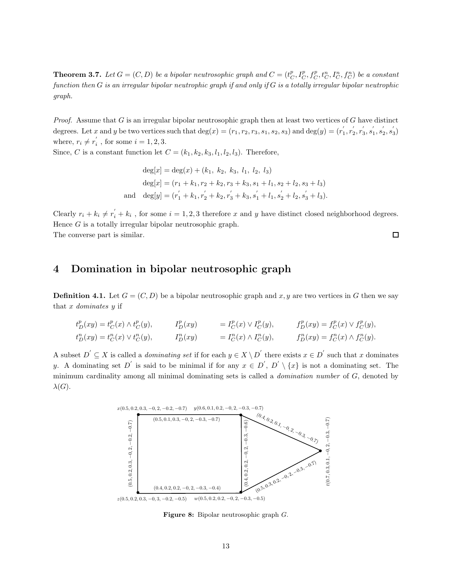**Theorem 3.7.** Let  $G = (C, D)$  be a bipolar neutrosophic graph and  $C = (t_C^p, I_C^p, t_C^p, t_C^n, t_C^n, f_C^n)$  be a constant *function then* G *is an irregular bipolar neutrophic graph if and only if* G *is a totally irregular bipolar neutrophic graph.*

*Proof.* Assume that G is an irregular bipolar neutrosophic graph then at least two vertices of G have distinct degrees. Let x and y be two vertices such that  $deg(x) = (r_1, r_2, r_3, s_1, s_2, s_3)$  and  $deg(y) = (r_1^{'})$  $r_{1}^{'}, r_{2}^{'}$  $\frac{r}{2}, r_3^{'}$  $'_{3}, s'_{1}$  $\frac{1}{1}, s_2^{'}$  $\frac{7}{2}, s_3'$  $_{3}^{\prime})$ where,  $r_i \neq r'_i$  $i_i$ , for some  $i = 1, 2, 3$ .

Since, C is a constant function let  $C = (k_1, k_2, k_3, l_1, l_2, l_3)$ . Therefore,

$$
\deg[x] = \deg(x) + (k_1, k_2, k_3, l_1, l_2, l_3)
$$
  
\n
$$
\deg[x] = (r_1 + k_1, r_2 + k_2, r_3 + k_3, s_1 + l_1, s_2 + l_2, s_3 + l_3)
$$
  
\nand 
$$
\deg[y] = (r_1^{'} + k_1, r_2^{'} + k_2, r_3^{'} + k_3, s_1^{'} + l_1, s_2^{'} + l_2, s_3^{'} + l_3).
$$

Clearly  $r_i + k_i \neq r'_i + k_i$ , for some  $i = 1, 2, 3$  therefore x and y have distinct closed neighborhood degrees. Hence  $G$  is a totally irregular bipolar neutrosophic graph.  $\Box$ 

The converse part is similar.

## 4 Domination in bipolar neutrosophic graph

**Definition 4.1.** Let  $G = (C, D)$  be a bipolar neutrosophic graph and x, y are two vertices in G then we say that x *dominates* y if

$$
t_D^p(xy) = t_C^p(x) \wedge t_C^p(y), \t I_D^p(xy) = I_C^p(x) \vee I_C^p(y), \t f_D^p(xy) = f_C^p(x) \vee f_C^p(y),
$$
  
\n
$$
t_D^n(xy) = t_C^n(x) \vee t_C^n(y), \t I_D^n(xy) = I_C^n(x) \wedge I_C^n(y), \t f_D^n(xy) = f_C^n(x) \wedge f_C^n(y).
$$

<span id="page-12-0"></span>A subset  $D' \subseteq X$  is called a *dominating set* if for each  $y \in X \setminus D'$  there exists  $x \in D'$  such that x dominates y. A dominating set D' is said to be minimal if for any  $x \in D'$ ,  $D' \setminus \{x\}$  is not a dominating set. The minimum cardinality among all minimal dominating sets is called a *domination number* of G, denoted by  $\lambda(G).$ 



Figure 8: Bipolar neutrosophic graph G.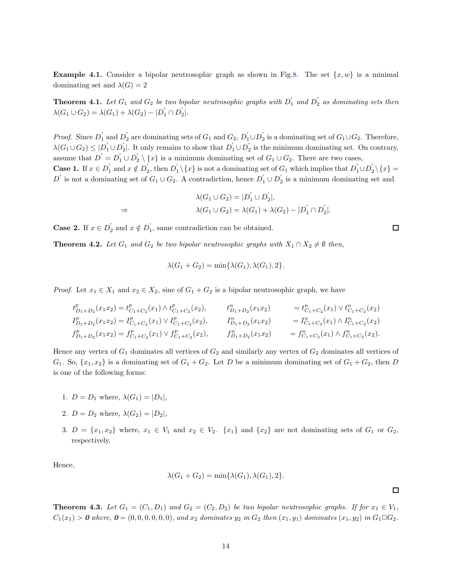**Example 4.1.** Consider a bipolar neutrosophic graph as shown in Fig[.8.](#page-12-0) The set  $\{x, w\}$  is a minimal dominating set and  $\lambda(G) = 2$ 

**Theorem 4.1.** Let  $G_1$  and  $G_2$  be two bipolar neutrosophic graphs with  $D_1^{'}$  and  $D_2^{'}$  as dominating sets then  $\lambda(G_1 \cup G_2) = \lambda(G_1) + \lambda(G_2) - |D'_1 \cap D'_2$  $\frac{1}{2}$ .

*Proof.* Since  $D'_1$  and  $D'_2$  are dominating sets of  $G_1$  and  $G_2$ ,  $D'_1 \cup D'_2$ <sub>2</sub> is a dominating set of  $G_1 \cup G_2$ . Therefore,  $\lambda(G_1\cup G_2)\leq |D_1^{'}\cup D_2^{'}$  $\sum_{2}^{\prime}$ . It only remains to show that  $D_{1}^{'} \cup D_{2}^{'}$  $\mathbf{z}_2$  is the minimum dominating set. On contrary, assume that  $D' = D'_1 \cup D'_2 \setminus \{x\}$  is a minimum dominating set of  $G_1 \cup G_2$ . There are two cases,

Case 1. If  $x \in D'_1$  $y'_1$  and  $x \notin D'_2$  $y_2'$ , then  $D_1'$  $\binom{1}{1}\left\{x\right\}$  is not a dominating set of  $G_1$  which implies that  $D_1^{'} \cup D_2^{'}$  $\frac{1}{2}\setminus\{x\} =$  $D^{'}$  is not a dominating set of  $G_1 \cup G_2$ . A contradiction, hence  $D_1^{'} \cup D_2^{'}$ 2 is a minimum dominating set and

$$
\lambda(G_1 \cup G_2) = |D'_1 \cup D'_2|,
$$
  
\n
$$
\lambda(G_1 \cup G_2) = \lambda(G_1) + \lambda(G_2) - |D'_1 \cap D'_2|.
$$

Case 2. If  $x \in D_2'$  $y'_2$  and  $x \notin D'_1$ 1 , same contradiction can be obtained.

**Theorem 4.2.** Let  $G_1$  and  $G_2$  be two bipolar neutrosophic graphs with  $X_1 \cap X_2 \neq \emptyset$  then,

$$
\lambda(G_1 + G_2) = \min\{\lambda(G_1), \lambda(G_1), 2\}.
$$

*Proof.* Let  $x_1 \in X_1$  and  $x_2 \in X_2$ , sine of  $G_1 + G_2$  is a bipolar neutrosophic graph, we have

$$
\begin{array}{llll} t^p_{D_1+D_2}(x_1x_2)=t^p_{C_1+C_2}(x_1)\wedge t^p_{C_1+C_2}(x_2), & t^n_{D_1+D_2}(x_1x_2) & =t^n_{C_1+C_2}(x_1)\vee t^n_{C_1+C_2}(x_2) \\ I^p_{D_1+D_2}(x_1x_2)=I^p_{C_1+C_2}(x_1)\vee I^p_{C_1+C_2}(x_2), & I^p_{D_1+D_2}(x_1x_2) & =I^p_{C_1+C_2}(x_1)\wedge I^p_{C_1+C_2}(x_2) \\ f^p_{D_1+D_2}(x_1x_2)=f^p_{C_1+C_2}(x_1)\vee f^p_{C_1+C_2}(x_2), & f^p_{D_1+D_2}(x_1x_2) & =f^p_{C_1+C_2}(x_1)\wedge f^p_{C_1+C_2}(x_2). \end{array}
$$

Hence any vertex of  $G_1$  dominates all vertices of  $G_2$  and similarly any vertex of  $G_2$  dominates all vertices of  $G_1$ . So,  $\{x_1, x_2\}$  is a dominating set of  $G_1 + G_2$ . Let D be a minimum dominating set of  $G_1 + G_2$ , then D is one of the following forms:

- 1.  $D = D_1$  where,  $\lambda(G_1) = |D_1|$ ,
- 2.  $D = D_2$  where,  $\lambda(G_2) = |D_2|$ ,
- 3.  $D = \{x_1, x_2\}$  where,  $x_1 \in V_1$  and  $x_2 \in V_2$ .  $\{x_1\}$  and  $\{x_2\}$  are not dominating sets of  $G_1$  or  $G_2$ , respectively.

Hence,

$$
\lambda(G_1 + G_2) = \min\{\lambda(G_1), \lambda(G_1), 2\}.
$$

**Theorem 4.3.** Let  $G_1 = (C_1, D_1)$  and  $G_2 = (C_2, D_2)$  be two bipolar neutrosophic graphs. If for  $x_1 \in V_1$ ,  $C_1(x_1) > 0$  where,  $0 = (0, 0, 0, 0, 0, 0)$ , and  $x_2$  dominates  $y_2$  in  $G_2$  then  $(x_1, y_1)$  dominates  $(x_1, y_2)$  in  $G_1 \square G_2$ .

口

 $\Box$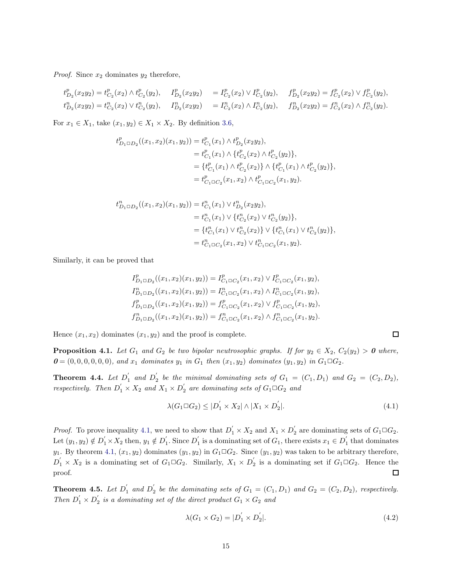*Proof.* Since  $x_2$  dominates  $y_2$  therefore,

$$
t_{D_2}^p(x_2y_2) = t_{C_2}^p(x_2) \wedge t_{C_2}^p(y_2), \quad I_{D_2}^p(x_2y_2) = I_{C_2}^p(x_2) \vee I_{C_2}^p(y_2), \quad f_{D_2}^p(x_2y_2) = f_{C_2}^p(x_2) \vee f_{C_2}^p(y_2),
$$
  
\n
$$
t_{D_2}^n(x_2y_2) = t_{C_2}^n(x_2) \vee t_{C_2}^n(y_2), \quad I_{D_2}^n(x_2y_2) = I_{C_2}^n(x_2) \wedge I_{C_2}^n(y_2), \quad f_{D_2}^n(x_2y_2) = f_{C_2}^n(x_2) \wedge f_{C_2}^n(y_2).
$$

For  $x_1 \in X_1$ , take  $(x_1, y_2) \in X_1 \times X_2$ . By definition [3.6,](#page-5-1)

$$
t_{D_1 \square D_2}^p((x_1, x_2)(x_1, y_2)) = t_{C_1}^p(x_1) \wedge t_{D_2}^p(x_2y_2),
$$
  
\n
$$
= t_{C_1}^p(x_1) \wedge \{t_{C_2}^p(x_2) \wedge t_{C_2}^p(y_2)\},
$$
  
\n
$$
= \{t_{C_1}^p(x_1) \wedge t_{C_2}^p(x_2)\} \wedge \{t_{C_1}^p(x_1) \wedge t_{C_2}^p(y_2)\},
$$
  
\n
$$
= t_{C_1 \square C_2}^p(x_1, x_2) \wedge t_{C_1 \square C_2}^p(x_1, y_2).
$$

$$
t_{D_1 \square D_2}^n((x_1, x_2)(x_1, y_2)) = t_{C_1}^n(x_1) \vee t_{D_2}^n(x_2y_2),
$$
  
\n
$$
= t_{C_1}^n(x_1) \vee \{t_{C_2}^n(x_2) \vee t_{C_2}^n(y_2)\},
$$
  
\n
$$
= \{t_{C_1}^n(x_1) \vee t_{C_2}^n(x_2)\} \vee \{t_{C_1}^n(x_1) \vee t_{C_2}^n(y_2)\},
$$
  
\n
$$
= t_{C_1 \square C_2}^n(x_1, x_2) \vee t_{C_1 \square C_2}^n(x_1, y_2).
$$

Similarly, it can be proved that

$$
\begin{aligned} I^p_{D_1\Box D_2}((x_1,x_2)(x_1,y_2))&=I^p_{C_1\Box C_2}(x_1,x_2)\vee I^p_{C_1\Box C_2}(x_1,y_2),\\ I^n_{D_1\Box D_2}((x_1,x_2)(x_1,y_2))&=I^n_{C_1\Box C_2}(x_1,x_2)\wedge I^n_{C_1\Box C_2}(x_1,y_2),\\ f^p_{D_1\Box D_2}((x_1,x_2)(x_1,y_2))&=f^p_{C_1\Box C_2}(x_1,x_2)\vee f^p_{C_1\Box C_2}(x_1,y_2),\\ f^n_{D_1\Box D_2}((x_1,x_2)(x_1,y_2))&=f^n_{C_1\Box C_2}(x_1,x_2)\wedge f^n_{C_1\Box C_2}(x_1,y_2). \end{aligned}
$$

Hence  $(x_1, x_2)$  dominates  $(x_1, y_2)$  and the proof is complete.

<span id="page-14-1"></span>**Proposition 4.1.** *Let*  $G_1$  *and*  $G_2$  *be two bipolar neutrosophic graphs. If for*  $y_2 \in X_2$ ,  $C_2(y_2) > 0$  *where,*  $0 = (0, 0, 0, 0, 0, 0)$ *, and*  $x_1$  *dominates*  $y_1$  *in*  $G_1$  *then*  $(x_1, y_2)$  *dominates*  $(y_1, y_2)$  *in*  $G_1 \square G_2$ *.* 

**Theorem 4.4.** Let  $D_1'$  and  $D_2'$  $S_2$  be the minimal dominating sets of  $G_1 = (C_1, D_1)$  and  $G_2 = (C_2, D_2)$ , *respectively.* Then  $D'_1 \times X_2$  and  $X_1 \times D'_2$  are dominating sets of  $G_1 \square G_2$  and

<span id="page-14-0"></span>
$$
\lambda(G_1 \square G_2) \le |D_1' \times X_2| \wedge |X_1 \times D_2'|.\tag{4.1}
$$

*Proof.* To prove inequality [4.1,](#page-14-0) we need to show that  $D'_1 \times X_2$  and  $X_1 \times D'_2$  are dominating sets of  $G_1 \square G_2$ . Let  $(y_1, y_2) \notin D_1' \times X_2$  then,  $y_1 \notin D_1'$  $j_1'$ . Since  $D_1'$  $y_1$  is a dominating set of  $G_1$ , there exists  $x_1 \in D_1'$  $i_1$  that dominates  $y_1$ . By theorem [4.1,](#page-14-1)  $(x_1, y_2)$  dominates  $(y_1, y_2)$  in  $G_1 \square G_2$ . Since  $(y_1, y_2)$  was taken to be arbitrary therefore,  $D'_1 \times X_2$  is a dominating set of  $G_1 \square G_2$ . Similarly,  $X_1 \times D'_2$  $\frac{1}{2}$  is a dominating set if  $G_1 \square G_2$ . Hence the proof.  $\Box$ 

**Theorem 4.5.** Let  $D'_1$  and  $D'_2$  $G_2$  be the dominating sets of  $G_1 = (C_1, D_1)$  and  $G_2 = (C_2, D_2)$ , respectively. *Then*  $D'_1 \times D'_2$  $G_2$  is a dominating set of the direct product  $G_1 \times G_2$  and

$$
\lambda(G_1 \times G_2) = |D_1' \times D_2'|.\tag{4.2}
$$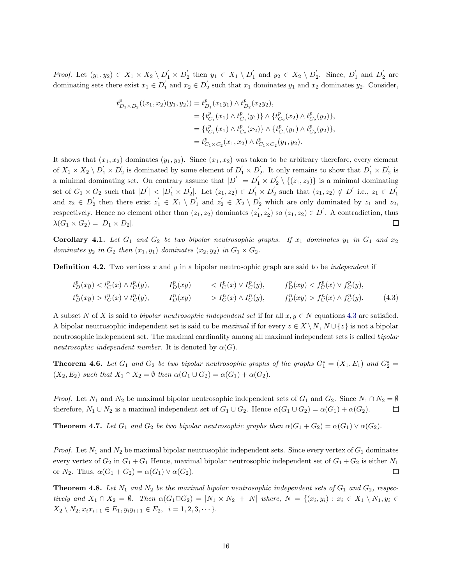*Proof.* Let  $(y_1, y_2) \in X_1 \times X_2 \setminus D'_1 \times D'_2$  $y'_2$  then  $y_1 \in X_1 \setminus D'_1$  $y_1'$  and  $y_2 \in X_2 \setminus D_2'$  $\sum_{2}^{\prime}$ . Since,  $D_1^{\prime}$  $'_{1}$  and  $D'_{2}$  $\frac{1}{2}$  are dominating sets there exist  $x_1 \in D_1'$  and  $x_2 \in D_2'$ <sub>2</sub> such that  $x_1$  dominates  $y_1$  and  $x_2$  dominates  $y_2$ . Consider,

$$
\begin{aligned} t^p_{D_1\times D_2}((x_1,x_2)(y_1,y_2))&=t^p_{D_1}(x_1y_1)\wedge t^p_{D_2}(x_2y_2),\\&=\{t^p_{C_1}(x_1)\wedge t^p_{C_1}(y_1)\}\wedge\{t^p_{C_2}(x_2)\wedge t^p_{C_2}(y_2)\},\\&=\{t^p_{C_1}(x_1)\wedge t^p_{C_2}(x_2)\}\wedge\{t^p_{C_1}(y_1)\wedge t^p_{C_2}(y_2)\},\\&=t^p_{C_1\times C_2}(x_1,x_2)\wedge t^p_{C_1\times C_2}(y_1,y_2). \end{aligned}
$$

It shows that  $(x_1, x_2)$  dominates  $(y_1, y_2)$ . Since  $(x_1, x_2)$  was taken to be arbitrary therefore, every element of  $X_1 \times X_2 \setminus D_1^{'} \times D_2^{'}$  $y_2^{'}$  is dominated by some element of  $D_1^{'} \times D_2^{'}$ 2. It only remains to show that  $D'_1 \times D'_2$  $\frac{1}{2}$  is a minimal dominating set. On contrary assume that  $|D'| = D'_1 \times D'_2$  $\{z_2 \setminus \{(z_1, z_2)\}\$ is a minimal dominating set of  $G_1 \times G_2$  such that  $|D'| < |D'_1 \times D'_2$  $2_2$ . Let  $(z_1, z_2) \in D'_1 \times D'_2$  $y'_2$  such that  $(z_1, z_2) \notin D'$  i.e.,  $z_1 \in D'_1$ G<sub>2</sub> such that  $|D| \le |D_1 \times D_2|$ . Let  $(z_1, z_2) \in D_1 \times D_2$  such that  $(z_1, z_2) \notin D$  i.e.,  $z_1 \in D_1$ and  $z_2 \in D_2$  then there exist  $z_1 \in X_1 \setminus D_1$  and  $z_2 \in X_2 \setminus D_2$  which are only dominated by  $z_1$  and  $z_2$ , respectively. Hence no element other than  $(z_1, z_2)$  dominates  $(z_1)$ <sup>'</sup>  $\frac{1}{1}, z_2^{'}$  $\binom{1}{2}$  so  $(z_1, z_2) \in D'$ . A contradiction, thus  $\lambda(G_1 \times G_2) = |D_1 \times D_2|.$  $\Box$ 

Corollary 4.1. Let  $G_1$  and  $G_2$  be two bipolar neutrosophic graphs. If  $x_1$  dominates  $y_1$  in  $G_1$  and  $x_2$ *dominates*  $y_2$  *in*  $G_2$  *then*  $(x_1, y_1)$  *dominates*  $(x_2, y_2)$  *in*  $G_1 \times G_2$ *.* 

Definition 4.2. Two vertices x and y in a bipolar neutrosophic graph are said to be *independent* if

<span id="page-15-0"></span>
$$
t_D^p(xy) < t_C^p(x) \land t_C^p(y), \qquad \quad I_D^p(xy) \qquad < I_C^p(x) \lor I_C^p(y), \qquad \quad f_D^p(xy) < f_C^p(x) \lor f_C^p(y),
$$
\n
$$
t_D^n(xy) > t_C^n(x) \lor t_C^n(y), \qquad \quad I_D^n(xy) \qquad > I_C^n(x) \land I_C^n(y), \qquad \quad f_D^n(xy) > f_C^n(x) \land f_C^n(y). \tag{4.3}
$$

A subset N of X is said to *bipolar neutrosophic independent set* if for all  $x, y \in N$  equations [4.3](#page-15-0) are satisfied. A bipolar neutrosophic independent set is said to be *maximal* if for every  $z \in X \setminus N$ ,  $N \cup \{z\}$  is not a bipolar neutrosophic independent set. The maximal cardinality among all maximal independent sets is called *bipolar neutrosophic independent number.* It is denoted by  $\alpha(G)$ .

**Theorem 4.6.** Let  $G_1$  and  $G_2$  be two bipolar neutrosophic graphs of the graphs  $G_1^* = (X_1, E_1)$  and  $G_2^* =$  $(X_2, E_2)$  *such that*  $X_1 \cap X_2 = \emptyset$  *then*  $\alpha(G_1 \cup G_2) = \alpha(G_1) + \alpha(G_2)$ .

*Proof.* Let  $N_1$  and  $N_2$  be maximal bipolar neutrosophic independent sets of  $G_1$  and  $G_2$ . Since  $N_1 \cap N_2 = \emptyset$ therefore,  $N_1 \cup N_2$  is a maximal independent set of  $G_1 \cup G_2$ . Hence  $\alpha(G_1 \cup G_2) = \alpha(G_1) + \alpha(G_2)$ .  $\Box$ 

**Theorem 4.7.** Let  $G_1$  and  $G_2$  be two bipolar neutrosophic graphs then  $\alpha(G_1 + G_2) = \alpha(G_1) \vee \alpha(G_2)$ .

*Proof.* Let  $N_1$  and  $N_2$  be maximal bipolar neutrosophic independent sets. Since every vertex of  $G_1$  dominates every vertex of  $G_2$  in  $G_1 + G_1$  Hence, maximal bipolar neutrosophic independent set of  $G_1 + G_2$  is either  $N_1$ or  $N_2$ . Thus,  $\alpha(G_1+G_2)=\alpha(G_1)\vee \alpha(G_2)$ . 口

**Theorem 4.8.** Let  $N_1$  and  $N_2$  be the maximal bipolar neutrosophic independent sets of  $G_1$  and  $G_2$ , respec*tively and*  $X_1 \cap X_2 = \emptyset$ . Then  $\alpha(G_1 \square G_2) = |N_1 \times N_2| + |N|$  *where,*  $N = \{(x_i, y_i) : x_i \in X_1 \setminus N_1, y_i \in X_2\}$  $X_2 \setminus N_2, x_i x_{i+1} \in E_1, y_i y_{i+1} \in E_2, i = 1, 2, 3, \cdots$ .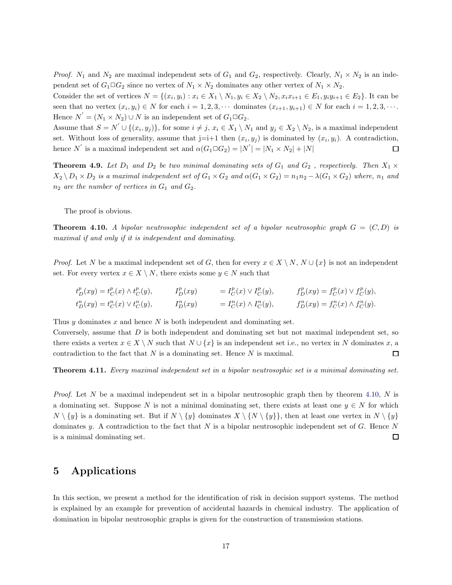*Proof.*  $N_1$  and  $N_2$  are maximal independent sets of  $G_1$  and  $G_2$ , respectively. Clearly,  $N_1 \times N_2$  is an independent set of  $G_1 \square G_2$  since no vertex of  $N_1 \times N_2$  dominates any other vertex of  $N_1 \times N_2$ .

Consider the set of vertices  $N = \{(x_i, y_i) : x_i \in X_1 \setminus N_1, y_i \in X_2 \setminus N_2, x_i x_{i+1} \in E_1, y_i y_{i+1} \in E_2\}$ . It can be seen that no vertex  $(x_i, y_i) \in N$  for each  $i = 1, 2, 3, \cdots$  dominates  $(x_{i+1}, y_{i+1}) \in N$  for each  $i = 1, 2, 3, \cdots$ . Hence  $N^{'} = (N_1 \times N_2) \cup N$  is an independent set of  $G_1 \square G_2$ .

Assume that  $S = N' \cup \{(x_i, y_j)\}\)$ , for some  $i \neq j$ ,  $x_i \in X_1 \setminus N_1$  and  $y_j \in X_2 \setminus N_2$ , is a maximal independent set. Without loss of generality, assume that  $j=i+1$  then  $(x_i, y_j)$  is dominated by  $(x_i, y_i)$ . A contradiction, hence N' is a maximal independent set and  $\alpha(G_1 \square G_2) = |N'| = |N_1 \times N_2| + |N|$  $\Box$ 

**Theorem 4.9.** Let  $D_1$  and  $D_2$  be two minimal dominating sets of  $G_1$  and  $G_2$ , respectively. Then  $X_1 \times$  $X_2 \setminus D_1 \times D_2$  *is a maximal independent set of*  $G_1 \times G_2$  *and*  $\alpha(G_1 \times G_2) = n_1 n_2 - \lambda(G_1 \times G_2)$  *where,*  $n_1$  *and*  $n_2$  *are the number of vertices in*  $G_1$  *and*  $G_2$ *.* 

The proof is obvious.

<span id="page-16-0"></span>**Theorem 4.10.** A bipolar neutrosophic independent set of a bipolar neutrosophic graph  $G = (C, D)$  is *maximal if and only if it is independent and dominating.*

*Proof.* Let N be a maximal independent set of G, then for every  $x \in X \setminus N$ ,  $N \cup \{x\}$  is not an independent set. For every vertex  $x \in X \setminus N$ , there exists some  $y \in N$  such that

$$
t_D^p(xy) = t_C^p(x) \wedge t_C^p(y), \t I_D^p(xy) = I_C^p(x) \vee I_C^p(y), \t f_D^p(xy) = f_C^p(x) \vee f_C^p(y),
$$
  
\n
$$
t_D^n(xy) = t_C^n(x) \vee t_C^n(y), \t I_D^n(xy) = I_C^n(x) \wedge I_C^n(y), \t f_D^n(xy) = f_C^n(x) \wedge f_C^n(y).
$$

Thus  $\gamma$  dominates  $x$  and hence  $N$  is both independent and dominating set.

Conversely, assume that  $D$  is both independent and dominating set but not maximal independent set, so there exists a vertex  $x \in X \setminus N$  such that  $N \cup \{x\}$  is an independent set i.e., no vertex in N dominates x, a contradiction to the fact that  $N$  is a dominating set. Hence  $N$  is maximal.  $\Box$ 

Theorem 4.11. *Every maximal independent set in a bipolar neutrosophic set is a minimal dominating set.*

*Proof.* Let N be a maximal independent set in a bipolar neutrosophic graph then by theorem [4.10,](#page-16-0) N is a dominating set. Suppose N is not a minimal dominating set, there exists at least one  $y \in N$  for which  $N \setminus \{y\}$  is a dominating set. But if  $N \setminus \{y\}$  dominates  $X \setminus \{N \setminus \{y\} \}$ , then at least one vertex in  $N \setminus \{y\}$ dominates y. A contradiction to the fact that  $N$  is a bipolar neutrosophic independent set of  $G$ . Hence  $N$ is a minimal dominating set.  $\Box$ 

#### 5 Applications

In this section, we present a method for the identification of risk in decision support systems. The method is explained by an example for prevention of accidental hazards in chemical industry. The application of domination in bipolar neutrosophic graphs is given for the construction of transmission stations.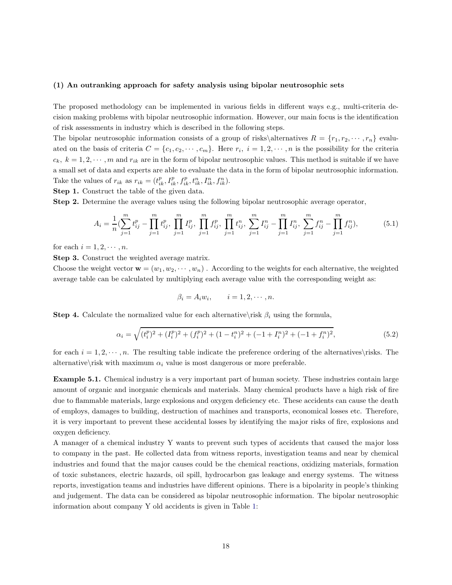#### (1) An outranking approach for safety analysis using bipolar neutrosophic sets

The proposed methodology can be implemented in various fields in different ways e.g., multi-criteria decision making problems with bipolar neutrosophic information. However, our main focus is the identification of risk assessments in industry which is described in the following steps.

The bipolar neutrosophic information consists of a group of risks\alternatives  $R = \{r_1, r_2, \dots, r_n\}$  evaluated on the basis of criteria  $C = \{c_1, c_2, \dots, c_m\}$ . Here  $r_i$ ,  $i = 1, 2, \dots, n$  is the possibility for the criteria  $c_k, k = 1, 2, \dots, m$  and  $r_{ik}$  are in the form of bipolar neutrosophic values. This method is suitable if we have a small set of data and experts are able to evaluate the data in the form of bipolar neutrosophic information. Take the values of  $r_{ik}$  as  $r_{ik} = (t_{ik}^p, I_{ik}^p, f_{ik}^p, t_{ik}^n, I_{ik}^n, f_{ik}^n)$ .

Step 1. Construct the table of the given data.

Step 2. Determine the average values using the following bipolar neutrosophic average operator,

<span id="page-17-1"></span>
$$
A_i = \frac{1}{n} \left( \sum_{j=1}^m t_{ij}^p - \prod_{j=1}^m t_{ij}^p, \prod_{j=1}^m I_{ij}^p, \prod_{j=1}^m f_{ij}^p, \prod_{j=1}^m t_{ij}^n, \sum_{j=1}^m I_{ij}^n - \prod_{j=1}^m I_{ij}^n, \sum_{j=1}^m f_{ij}^n - \prod_{j=1}^m f_{ij}^n \right),
$$
(5.1)

for each  $i = 1, 2, \cdots, n$ .

Step 3. Construct the weighted average matrix.

Choose the weight vector  $\mathbf{w} = (w_1, w_2, \dots, w_n)$ . According to the weights for each alternative, the weighted average table can be calculated by multiplying each average value with the corresponding weight as:

$$
\beta_i = A_i w_i, \qquad i = 1, 2, \cdots, n.
$$

**Step 4.** Calculate the normalized value for each alternative\risk  $\beta_i$  using the formula,

<span id="page-17-2"></span>
$$
\alpha_i = \sqrt{(t_i^p)^2 + (I_i^p)^2 + (f_i^p)^2 + (1 - t_i^n)^2 + (-1 + I_i^n)^2 + (-1 + f_i^n)^2},\tag{5.2}
$$

for each  $i = 1, 2, \dots, n$ . The resulting table indicate the preference ordering of the alternatives\risks. The alternative $\text{risk}$  with maximum  $\alpha_i$  value is most dangerous or more preferable.

Example 5.1. Chemical industry is a very important part of human society. These industries contain large amount of organic and inorganic chemicals and materials. Many chemical products have a high risk of fire due to flammable materials, large explosions and oxygen deficiency etc. These accidents can cause the death of employs, damages to building, destruction of machines and transports, economical losses etc. Therefore, it is very important to prevent these accidental losses by identifying the major risks of fire, explosions and oxygen deficiency.

<span id="page-17-0"></span>A manager of a chemical industry Y wants to prevent such types of accidents that caused the major loss to company in the past. He collected data from witness reports, investigation teams and near by chemical industries and found that the major causes could be the chemical reactions, oxidizing materials, formation of toxic substances, electric hazards, oil spill, hydrocarbon gas leakage and energy systems. The witness reports, investigation teams and industries have different opinions. There is a bipolarity in people's thinking and judgement. The data can be considered as bipolar neutrosophic information. The bipolar neutrosophic information about company Y old accidents is given in Table [1:](#page-17-0)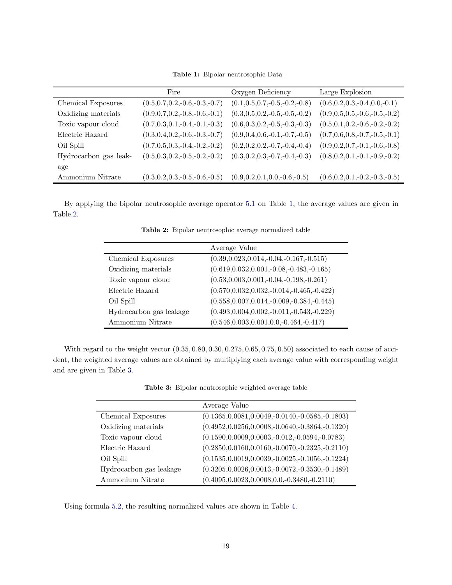Table 1: Bipolar neutrosophic Data

|                       | Fire                                | Oxygen Deficiency                   | Large Explosion                     |
|-----------------------|-------------------------------------|-------------------------------------|-------------------------------------|
| Chemical Exposures    | $(0.5, 0.7, 0.2, -0.6, -0.3, -0.7)$ | $(0.1, 0.5, 0.7, -0.5, -0.2, -0.8)$ | $(0.6, 0.2, 0.3, -0.4, 0.0, -0.1)$  |
| Oxidizing materials   | $(0.9, 0.7, 0.2, -0.8, -0.6, -0.1)$ | $(0.3, 0.5, 0.2, -0.5, -0.5, -0.2)$ | $(0.9, 0.5, 0.5, -0.6, -0.5, -0.2)$ |
| Toxic vapour cloud    | $(0.7, 0.3, 0.1, -0.4, -0.1, -0.3)$ | $(0.6, 0.3, 0.2, -0.5, -0.3, -0.3)$ | $(0.5, 0.1, 0.2, -0.6, -0.2, -0.2)$ |
| Electric Hazard       | $(0.3, 0.4, 0.2, -0.6, -0.3, -0.7)$ | $(0.9, 0.4, 0.6, -0.1, -0.7, -0.5)$ | $(0.7, 0.6, 0.8, -0.7, -0.5, -0.1)$ |
| Oil Spill             | $(0.7, 0.5, 0.3, -0.4, -0.2, -0.2)$ | $(0.2, 0.2, 0.2, -0.7, -0.4, -0.4)$ | $(0.9, 0.2, 0.7, -0.1, -0.6, -0.8)$ |
| Hydrocarbon gas leak- | $(0.5, 0.3, 0.2, -0.5, -0.2, -0.2)$ | $(0.3, 0.2, 0.3, -0.7, -0.4, -0.3)$ | $(0.8, 0.2, 0.1, -0.1, -0.9, -0.2)$ |
| age                   |                                     |                                     |                                     |
| Ammonium Nitrate      | $(0.3, 0.2, 0.3, -0.5, -0.6, -0.5)$ | $(0.9, 0.2, 0.1, 0.0, -0.6, -0.5)$  | $(0.6, 0.2, 0.1, -0.2, -0.3, -0.5)$ |

<span id="page-18-0"></span>By applying the bipolar neutrosophic average operator [5.1](#page-17-1) on Table [1,](#page-17-0) the average values are given in Table[.2.](#page-18-0)

Table 2: Bipolar neutrosophic average normalized table

|                         | Average Value                                   |
|-------------------------|-------------------------------------------------|
| Chemical Exposures      | $(0.39, 0.023, 0.014, -0.04, -0.167, -0.515)$   |
| Oxidizing materials     | $(0.619, 0.032, 0.001, -0.08, -0.483, -0.165)$  |
| Toxic vapour cloud      | $(0.53, 0.003, 0.001, -0.04, -0.198, -0.261)$   |
| Electric Hazard         | $(0.570, 0.032, 0.032, -0.014, -0.465, -0.422)$ |
| Oil Spill               | $(0.558, 0.007, 0.014, -0.009, -0.384, -0.445)$ |
| Hydrocarbon gas leakage | $(0.493, 0.004, 0.002, -0.011, -0.543, -0.229)$ |
| Ammonium Nitrate        | $(0.546, 0.003, 0.001, 0.0, -0.464, -0.417)$    |

<span id="page-18-1"></span>With regard to the weight vector (0.35, 0.80, 0.30, 0.275, 0.65, 0.75, 0.50) associated to each cause of accident, the weighted average values are obtained by multiplying each average value with corresponding weight and are given in Table [3.](#page-18-1)

Table 3: Bipolar neutrosophic weighted average table

|                         | Average Value                                         |
|-------------------------|-------------------------------------------------------|
| Chemical Exposures      | $(0.1365, 0.0081, 0.0049, -0.0140, -0.0585, -0.1803)$ |
| Oxidizing materials     | $(0.4952, 0.0256, 0.0008, -0.0640, -0.3864, -0.1320)$ |
| Toxic vapour cloud      | $(0.1590, 0.0009, 0.0003, -0.012, -0.0594, -0.0783)$  |
| Electric Hazard         | $(0.2850, 0.0160, 0.0160, -0.0070, -0.2325, -0.2110)$ |
| Oil Spill               | $(0.1535, 0.0019, 0.0039, -0.0025, -0.1056, -0.1224)$ |
| Hydrocarbon gas leakage | $(0.3205, 0.0026, 0.0013, -0.0072, -0.3530, -0.1489)$ |
| Ammonium Nitrate        | $(0.4095, 0.0023, 0.0008, 0.0, -0.3480, -0.2110)$     |

<span id="page-18-2"></span>Using formula [5.2,](#page-17-2) the resulting normalized values are shown in Table [4.](#page-18-2)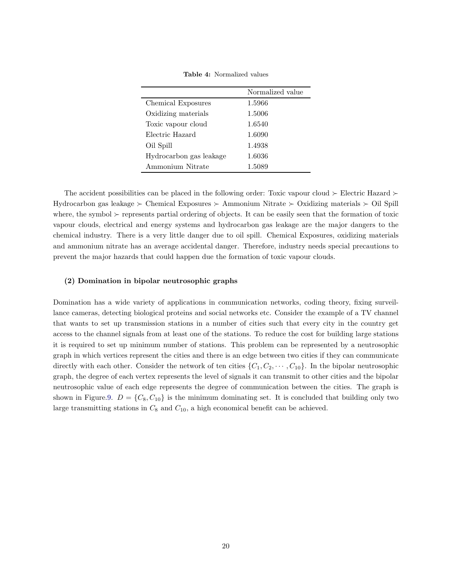| <b>Table 4:</b> Normalized values |  |
|-----------------------------------|--|
|                                   |  |

|                         | Normalized value |
|-------------------------|------------------|
| Chemical Exposures      | 1.5966           |
| Oxidizing materials     | 1.5006           |
| Toxic vapour cloud      | 1.6540           |
| Electric Hazard         | 1.6090           |
| Oil Spill               | 1.4938           |
| Hydrocarbon gas leakage | 1.6036           |
| Ammonium Nitrate        | 1.5089           |

The accident possibilities can be placed in the following order: Toxic vapour cloud ≻ Electric Hazard ≻ Hydrocarbon gas leakage ≻ Chemical Exposures ≻ Ammonium Nitrate ≻ Oxidizing materials ≻ Oil Spill where, the symbol ≻ represents partial ordering of objects. It can be easily seen that the formation of toxic vapour clouds, electrical and energy systems and hydrocarbon gas leakage are the major dangers to the chemical industry. There is a very little danger due to oil spill. Chemical Exposures, oxidizing materials and ammonium nitrate has an average accidental danger. Therefore, industry needs special precautions to prevent the major hazards that could happen due the formation of toxic vapour clouds.

#### (2) Domination in bipolar neutrosophic graphs

Domination has a wide variety of applications in communication networks, coding theory, fixing surveillance cameras, detecting biological proteins and social networks etc. Consider the example of a TV channel that wants to set up transmission stations in a number of cities such that every city in the country get access to the channel signals from at least one of the stations. To reduce the cost for building large stations it is required to set up minimum number of stations. This problem can be represented by a neutrosophic graph in which vertices represent the cities and there is an edge between two cities if they can communicate directly with each other. Consider the network of ten cities  $\{C_1, C_2, \dots, C_{10}\}$ . In the bipolar neutrosophic graph, the degree of each vertex represents the level of signals it can transmit to other cities and the bipolar neutrosophic value of each edge represents the degree of communication between the cities. The graph is shown in Figure[.9.](#page-20-0)  $D = \{C_8, C_{10}\}\$ is the minimum dominating set. It is concluded that building only two large transmitting stations in  $C_8$  and  $C_{10}$ , a high economical benefit can be achieved.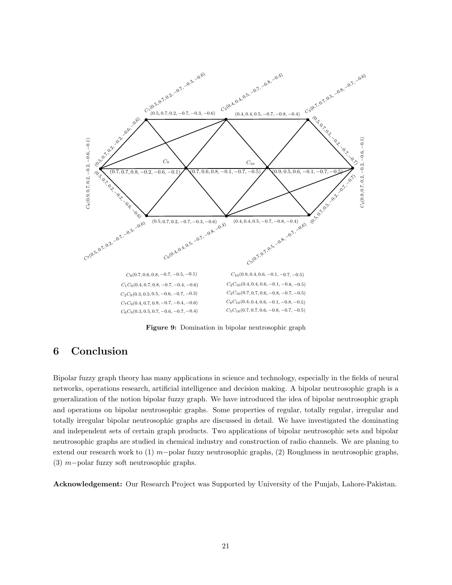<span id="page-20-0"></span>

Figure 9: Domination in bipolar neutrosophic graph

## 6 Conclusion

Bipolar fuzzy graph theory has many applications in science and technology, especially in the fields of neural networks, operations research, artificial intelligence and decision making. A bipolar neutrosophic graph is a generalization of the notion bipolar fuzzy graph. We have introduced the idea of bipolar neutrosophic graph and operations on bipolar neutrosophic graphs. Some properties of regular, totally regular, irregular and totally irregular bipolar neutrosophic graphs are discussed in detail. We have investigated the dominating and independent sets of certain graph products. Two applications of bipolar neutrosophic sets and bipolar neutrosophic graphs are studied in chemical industry and construction of radio channels. We are planing to extend our research work to (1) m−polar fuzzy neutrosophic graphs, (2) Roughness in neutrosophic graphs, (3) m−polar fuzzy soft neutrosophic graphs.

Acknowledgement: Our Research Project was Supported by University of the Punjab, Lahore-Pakistan.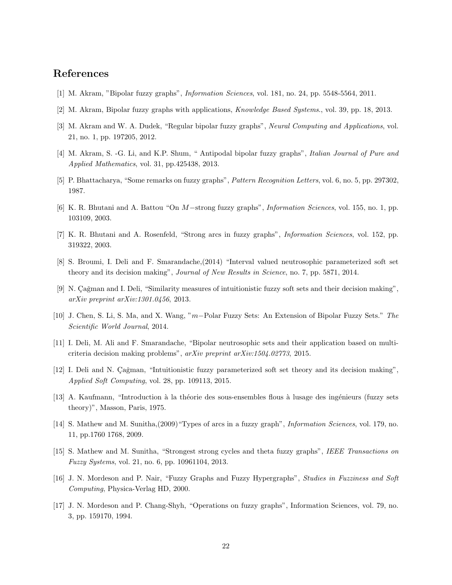## References

- <span id="page-21-12"></span>[1] M. Akram, "Bipolar fuzzy graphs", *Information Sciences*, vol. 181, no. 24, pp. 5548-5564, 2011.
- <span id="page-21-13"></span>[2] M. Akram, Bipolar fuzzy graphs with applications, *Knowledge Based Systems*., vol. 39, pp. 18, 2013.
- <span id="page-21-14"></span>[3] M. Akram and W. A. Dudek, "Regular bipolar fuzzy graphs", *Neural Computing and Applications*, vol. 21, no. 1, pp. 197205, 2012.
- [4] M. Akram, S. -G. Li, and K.P. Shum, " Antipodal bipolar fuzzy graphs", *Italian Journal of Pure and Applied Mathematics*, vol. 31, pp.425438, 2013.
- <span id="page-21-5"></span>[5] P. Bhattacharya, "Some remarks on fuzzy graphs", *Pattern Recognition Letters*, vol. 6, no. 5, pp. 297302, 1987.
- <span id="page-21-8"></span>[6] K. R. Bhutani and A. Battou "On M−strong fuzzy graphs", *Information Sciences*, vol. 155, no. 1, pp. 103109, 2003.
- <span id="page-21-9"></span>[7] K. R. Bhutani and A. Rosenfeld, "Strong arcs in fuzzy graphs", *Information Sciences*, vol. 152, pp. 319322, 2003.
- <span id="page-21-1"></span>[8] S. Broumi, I. Deli and F. Smarandache,(2014) "Interval valued neutrosophic parameterized soft set theory and its decision making", *Journal of New Results in Science*, no. 7, pp. 5871, 2014.
- <span id="page-21-0"></span>[9] N. Çağman and I. Deli, "Similarity measures of intuitionistic fuzzy soft sets and their decision making", *arXiv preprint arXiv:1301.0456*, 2013.
- <span id="page-21-15"></span>[10] J. Chen, S. Li, S. Ma, and X. Wang, "m−Polar Fuzzy Sets: An Extension of Bipolar Fuzzy Sets." *The Scientific World Journal*, 2014.
- <span id="page-21-3"></span>[11] I. Deli, M. Ali and F. Smarandache, "Bipolar neutrosophic sets and their application based on multicriteria decision making problems", *arXiv preprint arXiv:1504.02773*, 2015.
- <span id="page-21-2"></span>[12] I. Deli and N. Çağman, "Intuitionistic fuzzy parameterized soft set theory and its decision making", *Applied Soft Computing*, vol. 28, pp. 109113, 2015.
- <span id="page-21-4"></span>[13] A. Kaufmann, "Introduction à la théorie des sous-ensembles flous à lusage des ingénieurs (fuzzy sets theory)", Masson, Paris, 1975.
- <span id="page-21-10"></span>[14] S. Mathew and M. Sunitha,(2009)"Types of arcs in a fuzzy graph", *Information Sciences*, vol. 179, no. 11, pp.1760 1768, 2009.
- <span id="page-21-11"></span>[15] S. Mathew and M. Sunitha, "Strongest strong cycles and theta fuzzy graphs", *IEEE Transactions on Fuzzy Systems*, vol. 21, no. 6, pp. 10961104, 2013.
- <span id="page-21-7"></span>[16] J. N. Mordeson and P. Nair, "Fuzzy Graphs and Fuzzy Hypergraphs", *Studies in Fuzziness and Soft Computing*, Physica-Verlag HD, 2000.
- <span id="page-21-6"></span>[17] J. N. Mordeson and P. Chang-Shyh, "Operations on fuzzy graphs", Information Sciences, vol. 79, no. 3, pp. 159170, 1994.